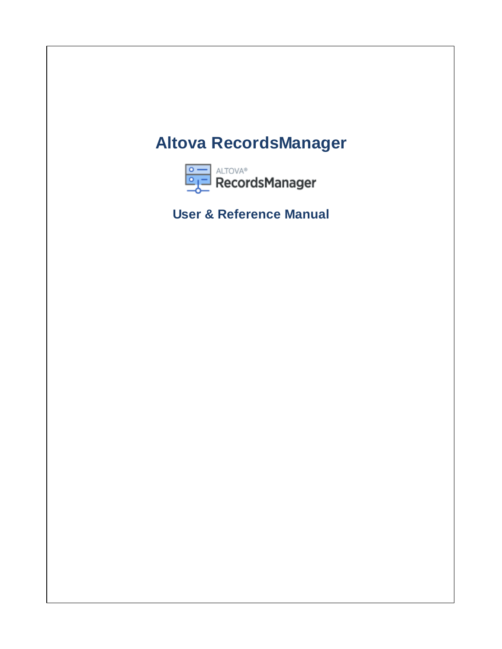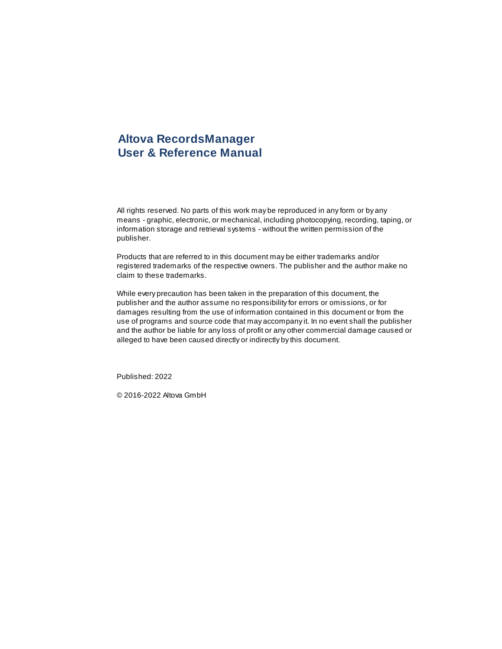# **Altova RecordsManager User & Reference Manual**

All rights reserved. No parts of this work may be reproduced in any form or by any means - graphic, electronic, or mechanical, including photocopying, recording, taping, or information storage and retrieval systems - without the written permission of the publisher.

Products that are referred to in this document may be either trademarks and/or registered trademarks of the respective owners. The publisher and the author make no claim to these trademarks.

While every precaution has been taken in the preparation of this document, the publisher and the author assume no responsibility for errors or omissions, or for damages resulting from the use of information contained in this document or from the use of programs and source code that may accompany it. In no event shall the publisher and the author be liable for any loss of profit or any other commercial damage caused or alleged to have been caused directly or indirectly by this document.

Published: 2022

© 2016-2022 Altova GmbH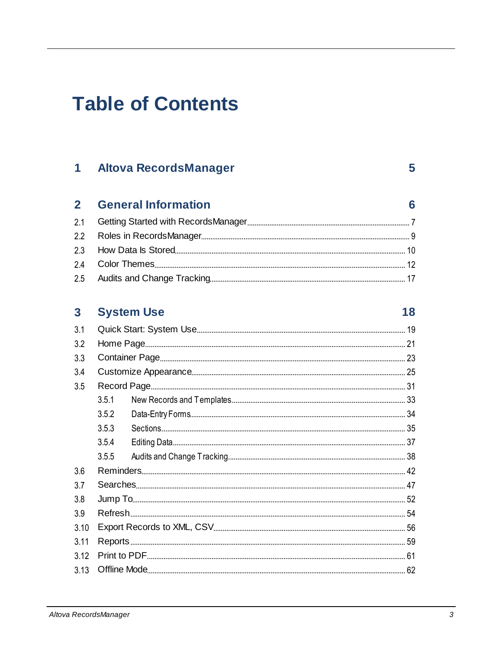# **Table of Contents**

#### **Altova RecordsManager**  $\mathbf 1$

#### $\overline{2}$ **General Information**

# 3 System Use

| 3.1  |       |  |
|------|-------|--|
| 3.2  |       |  |
| 3.3  |       |  |
| 3.4  |       |  |
| 3.5  |       |  |
|      | 351   |  |
|      | 3.5.2 |  |
|      | 3.5.3 |  |
|      | 3.5.4 |  |
|      | 3.5.5 |  |
| 3.6  |       |  |
| 3.7  |       |  |
| 3.8  |       |  |
| 3.9  |       |  |
| 3.10 |       |  |
| 3.11 |       |  |
| 3.12 |       |  |
| 3.13 |       |  |
|      |       |  |

 $5\overline{)}$ 

 $6\phantom{a}$ 

18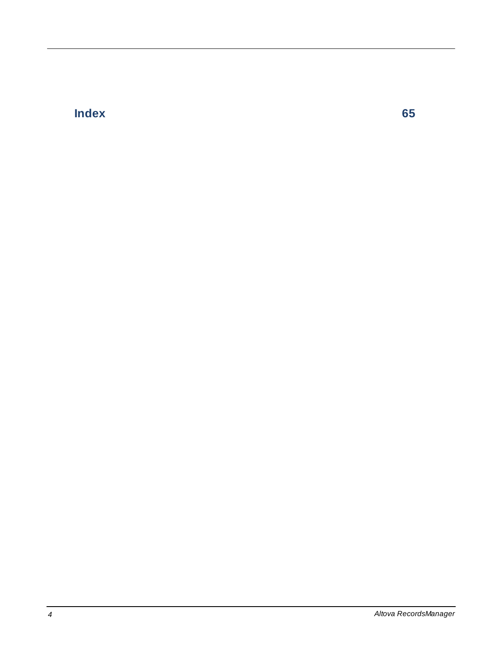# **Index [65](#page-64-0)**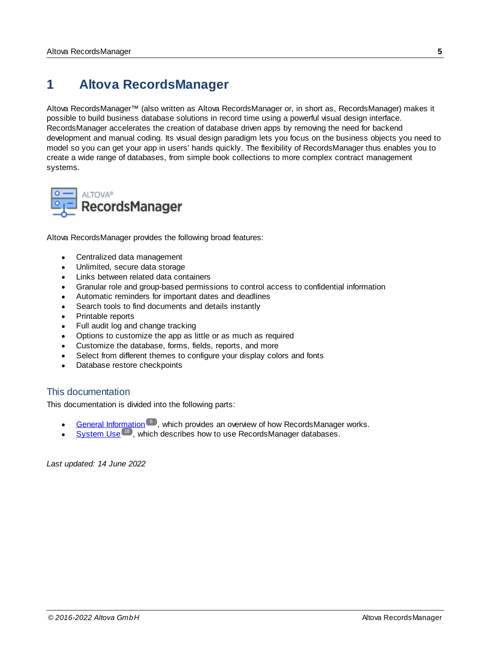# <span id="page-4-0"></span>**1 Altova RecordsManager**

Altova RecordsManager™ (also written as Altova RecordsManager or, in short as, RecordsManager) makes it possible to build business database solutions in record time using a powerful visual design interface. RecordsManager accelerates the creation of database driven apps by removing the need for backend development and manual coding. Its visual design paradigm lets you focus on the business objects you need to model so you can get your app in users' hands quickly. The flexibility of RecordsManager thus enables you to create a wide range of databases, from simple book collections to more complex contract management systems.



Altova RecordsManager provides the following broad features:

- ·Centralized data management
- ·Unlimited, secure data storage
- ·Links between related data containers
- Granular role and group-based permissions to control access to confidential information<br>• Automatic reminders for important dates and deadlines
- Automatic reminders for important dates and deadlines
- ·Search tools to find documents and details instantly
- ·Printable reports
- ·Full audit log and change tracking
- ·Options to customize the app as little or as much as required
- ·Customize the database, forms, fields, reports, and more
- ·Select from different themes to configure your display colors and fonts
- ·Database restore checkpoints

#### This documentation

This documentation is divided into the following parts:

- ·General [Information](#page-5-0)<sup>6</sup>, which provides an overview of how RecordsManager works.
- ·[System](#page-17-0) Use<sup>18</sup>, which describes how to use RecordsManager databases.

*Last updated: 14 June 2022*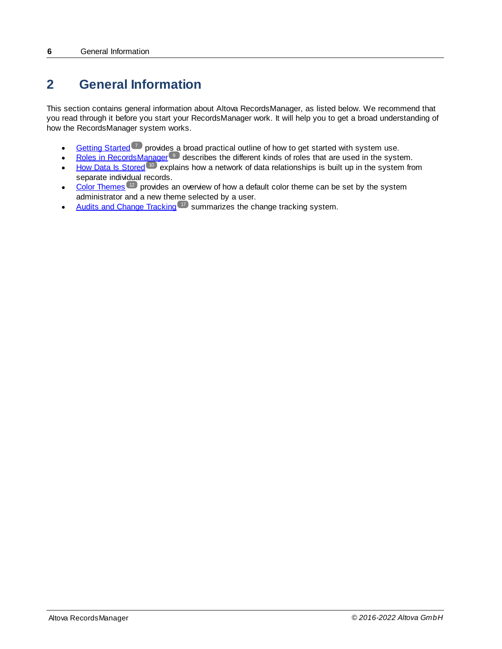# <span id="page-5-0"></span>**2 General Information**

This section contains general information about Altova RecordsManager, as listed below. We recommend that you read through it before you start your RecordsManager work. It will help you to get a broad understanding of how the RecordsManager system works.

- ·[Getting](#page-6-0) Started  $\sim$  provides a broad practical outline of how to get started with system use.
- ·Roles in [RecordsManager](#page-8-0)<sup>o</sup> describes the different kinds of roles that are used in the system.
- ·How Data Is [Stored](#page-9-0)<sup>10</sup> explains how a network of data relationships is built up in the system from separate individual records.
- ·Color [Themes](#page-11-0)<sup>(12</sup>)</sub> provides an overview of how a default color theme can be set by the system administrator and a new theme selected by a user.
- ·Audits and Change [Tracking](#page-16-0)<sup>17</sup> summarizes the change tracking system.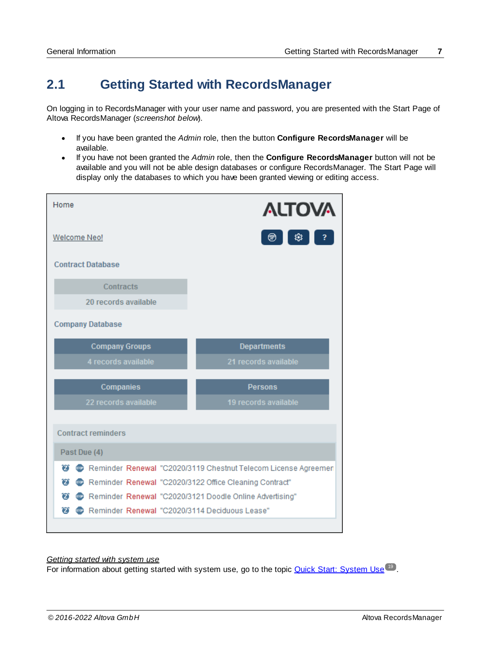# <span id="page-6-0"></span>**2.1 Getting Started with RecordsManager**

On logging in to RecordsManager with your user name and password, you are presented with the Start Page of Altova RecordsManager (*screenshot below*).

- · If you have been granted the *Admin* role, then the button **Configure RecordsManager** will be available.
- · If you have not been granted the *Admin* role, then the **Configure RecordsManager** button will not be available and you will not be able design databases or configure RecordsManager. The Start Page will display only the databases to which you have been granted viewing or editing access.

| Home                                                         | <b>ALTOVA</b>                                                  |
|--------------------------------------------------------------|----------------------------------------------------------------|
| <b>Welcome Neo!</b>                                          | 惢<br>⊛                                                         |
| <b>Contract Database</b>                                     |                                                                |
| Contracts                                                    |                                                                |
| 20 records available                                         |                                                                |
| <b>Company Database</b>                                      |                                                                |
| <b>Company Groups</b>                                        | <b>Departments</b>                                             |
| 4 records available                                          | 21 records available                                           |
| <b>Companies</b>                                             | <b>Persons</b>                                                 |
| 22 records available                                         | 19 records available                                           |
| <b>Contract reminders</b>                                    |                                                                |
| Past Due (4)                                                 |                                                                |
| $\boldsymbol{z}$                                             | Reminder Renewal "C2020/3119 Chestnut Telecom License Agreemen |
| Reminder Renewal "C2020/3122 Office Cleaning Contract"<br>2  |                                                                |
| Reminder Renewal "C2020/3121 Doodle Online Advertising"<br>σ |                                                                |
| Reminder Renewal "C2020/3114 Deciduous Lease"<br>Ø           |                                                                |

#### *Getting started with system use*

For information about getting started with system use, go to the topic Quick Start: [System](#page-18-0) Use<sup>(19)</sup>.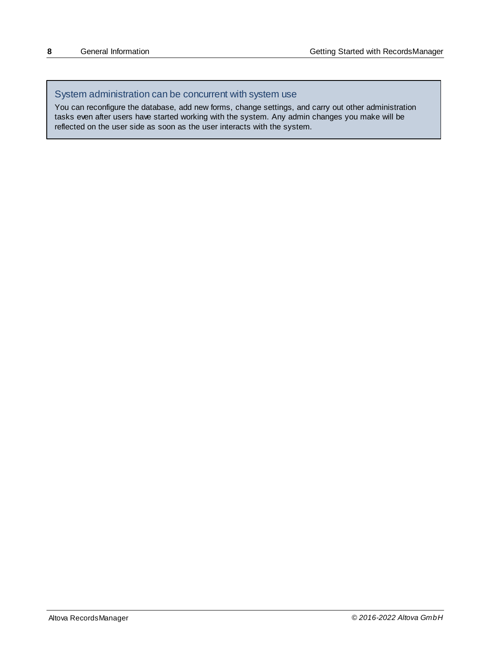# System administration can be concurrent with system use

You can reconfigure the database, add new forms, change settings, and carry out other administration tasks even after users have started working with the system. Any admin changes you make will be reflected on the user side as soon as the user interacts with the system.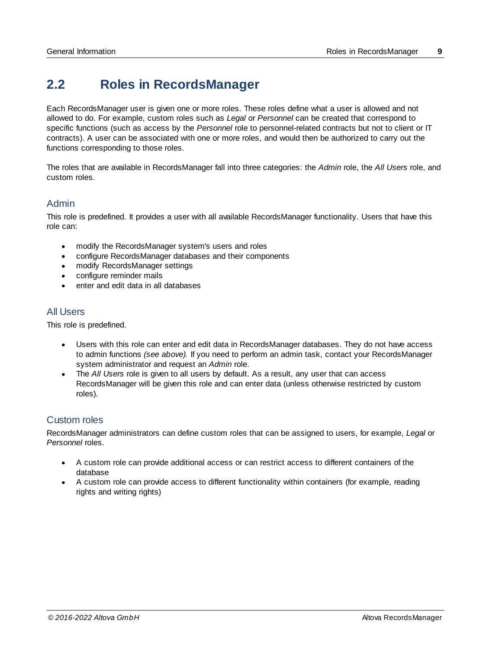# <span id="page-8-0"></span>**2.2 Roles in RecordsManager**

Each RecordsManager user is given one or more roles. These roles define what a user is allowed and not allowed to do. For example, custom roles such as *Legal* or *Personnel* can be created that correspond to specific functions (such as access by the *Personnel* role to personnel-related contracts but not to client or IT contracts). A user can be associated with one or more roles, and would then be authorized to carry out the functions corresponding to those roles.

The roles that are available in RecordsManager fall into three categories: the *Admin* role, the *All Users* role, and custom roles.

### Admin

This role is predefined. It provides a user with all available RecordsManager functionality. Users that have this role can:

- ·modify the RecordsManager system's users and roles
- · configure RecordsManager databases and their components
- modify RecordsManager settings
- configure reminder mails
- enter and edit data in all databases

#### All Users

This role is predefined.

- · Users with this role can enter and edit data in RecordsManager databases. They do not have access to admin functions *(see above).* If you need to perform an admin task, contact your RecordsManager system administrator and request an *Admin* role.
- · The *All Users* role is given to all users by default. As a result, any user that can access RecordsManager will be given this role and can enter data (unless otherwise restricted by custom roles).

### Custom roles

RecordsManager administrators can define custom roles that can be assigned to users, for example, *Legal* or *Personnel* roles.

- · A custom role can provide additional access or can restrict access to different containers of the database
- · A custom role can provide access to different functionality within containers (for example, reading rights and writing rights)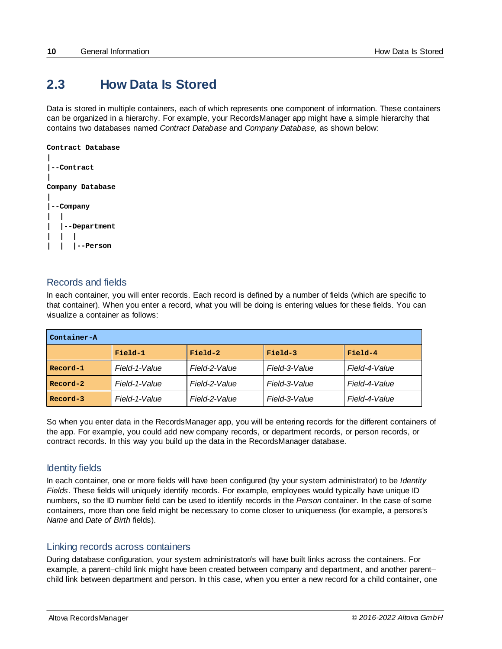# <span id="page-9-0"></span>**2.3 How Data Is Stored**

Data is stored in multiple containers, each of which represents one component of information. These containers can be organized in a hierarchy. For example, your RecordsManager app might have a simple hierarchy that contains two databases named *Contract Database* and *Company Database,* as shown below:



# Records and fields

In each container, you will enter records. Each record is defined by a number of fields (which are specific to that container). When you enter a record, what you will be doing is entering values for these fields. You can visualize a container as follows:

| Container-A                                                                  |               |               |               |               |  |
|------------------------------------------------------------------------------|---------------|---------------|---------------|---------------|--|
| Field-2<br>Field-3<br>Field-4<br>Field-1                                     |               |               |               |               |  |
| Record-1                                                                     | Field-1-Value | Field-2-Value | Field-3-Value | Field-4-Value |  |
| Record-2                                                                     | Field-1-Value | Field-2-Value | Field-3-Value | Field-4-Value |  |
| Field-1-Value<br>Field-3-Value<br>Field-4-Value<br>Field-2-Value<br>Record-3 |               |               |               |               |  |

So when you enter data in the RecordsManager app, you will be entering records for the different containers of the app. For example, you could add new company records, or department records, or person records, or contract records. In this way you build up the data in the RecordsManager database.

### Identity fields

In each container, one or more fields will have been configured (by your system administrator) to be *Identity Fields*. These fields will uniquely identify records. For example, employees would typically have unique ID numbers, so the ID number field can be used to identify records in the *Person* container. In the case of some containers, more than one field might be necessary to come closer to uniqueness (for example, a persons's *Name* and *Date of Birth* fields).

#### Linking records across containers

During database configuration, your system administrator/s will have built links across the containers. For example, a parent–child link might have been created between company and department, and another parent– child link between department and person. In this case, when you enter a new record for a child container, one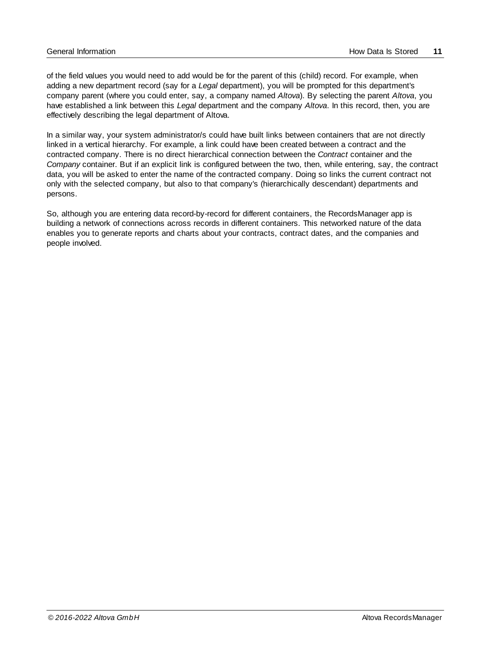of the field values you would need to add would be for the parent of this (child) record. For example, when adding a new department record (say for a *Legal* department), you will be prompted for this department's company parent (where you could enter, say, a company named *Altova*). By selecting the parent *Altova*, you have established a link between this *Legal* department and the company *Altova*. In this record, then, you are effectively describing the legal department of Altova.

In a similar way, your system administrator/s could have built links between containers that are not directly linked in a vertical hierarchy. For example, a link could have been created between a contract and the contracted company. There is no direct hierarchical connection between the *Contract* container and the *Company* container. But if an explicit link is configured between the two, then, while entering, say, the contract data, you will be asked to enter the name of the contracted company. Doing so links the current contract not only with the selected company, but also to that company's (hierarchically descendant) departments and persons.

So, although you are entering data record-by-record for different containers, the RecordsManager app is building a network of connections across records in different containers. This networked nature of the data enables you to generate reports and charts about your contracts, contract dates, and the companies and people involved.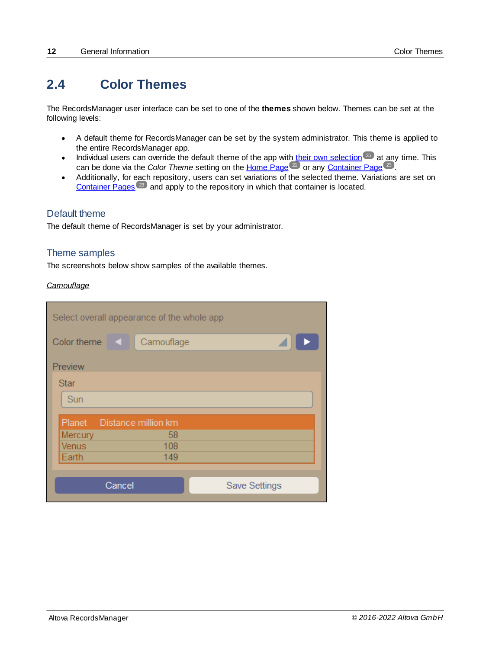# <span id="page-11-0"></span>**2.4 Color Themes**

The RecordsManager user interface can be set to one of the **themes** shown below. Themes can be set at the following levels:

- · A default theme for RecordsManager can be set by the system administrator. This theme is applied to the entire RecordsManager app.
- ·Individual users can override the default theme of the app with their own [selection](#page-24-0)<sup>25</sup> at any time. This can be done via the *Color Theme* setting on the [Home](#page-20-0) Page<sup>(21</sup>) or any [Container](#page-22-0) Page<sup>(23)</sup>. 25  $^{21}$  or any Container Page  $^{23}$
- Additionally, for each repository, users can set variations of the selected theme. Variations are set on [Container](#page-22-0) Pages<sup> $23$ </sup> and apply to the repository in which that container is located.

# Default theme

The default theme of RecordsManager is set by your administrator.

### Theme samples

The screenshots below show samples of the available themes.

#### *Camouflage*

| Select overall appearance of the whole app |            |  |  |  |  |  |
|--------------------------------------------|------------|--|--|--|--|--|
| Color theme<br><b>KIL</b>                  | Camouflage |  |  |  |  |  |
| Preview                                    |            |  |  |  |  |  |
| <b>Star</b>                                |            |  |  |  |  |  |
| Sun                                        |            |  |  |  |  |  |
| Planet Distance million km                 |            |  |  |  |  |  |
| Mercury                                    | 58         |  |  |  |  |  |
| <b>Venus</b>                               | 108        |  |  |  |  |  |
| Earth                                      | 149        |  |  |  |  |  |
|                                            |            |  |  |  |  |  |
| Cancel<br><b>Save Settings</b>             |            |  |  |  |  |  |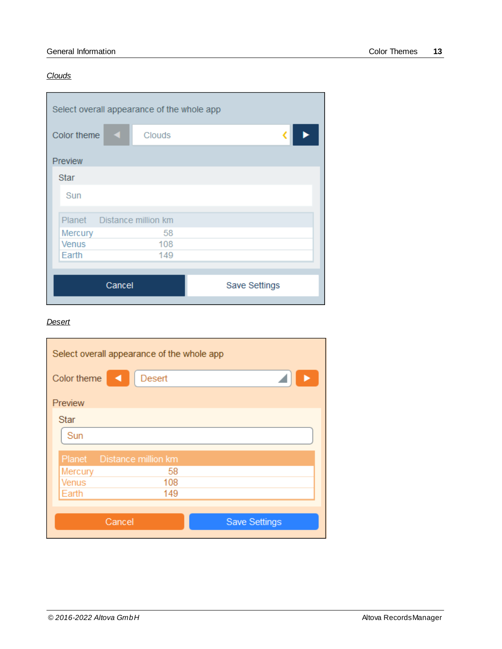#### *Clouds*

| Select overall appearance of the whole app |               |  |  |  |  |  |  |
|--------------------------------------------|---------------|--|--|--|--|--|--|
| Color theme<br>♦                           | <b>Clouds</b> |  |  |  |  |  |  |
| Preview                                    |               |  |  |  |  |  |  |
| <b>Star</b>                                |               |  |  |  |  |  |  |
| Sun                                        |               |  |  |  |  |  |  |
| Planet Distance million km                 |               |  |  |  |  |  |  |
| Mercury                                    | 58            |  |  |  |  |  |  |
| <b>Venus</b>                               | 108           |  |  |  |  |  |  |
| Earth                                      | 149           |  |  |  |  |  |  |
|                                            |               |  |  |  |  |  |  |
| Cancel<br>Save Settings                    |               |  |  |  |  |  |  |

# *Desert*

| Select overall appearance of the whole app |               |                      |  |  |  |
|--------------------------------------------|---------------|----------------------|--|--|--|
| Color theme                                | <b>Desert</b> |                      |  |  |  |
| Preview                                    |               |                      |  |  |  |
| <b>Star</b>                                |               |                      |  |  |  |
| Sun                                        |               |                      |  |  |  |
| Planet Distance million km                 |               |                      |  |  |  |
| Mercury                                    | 58            |                      |  |  |  |
| <b>Venus</b>                               | 108           |                      |  |  |  |
| Earth                                      | 149           |                      |  |  |  |
|                                            |               |                      |  |  |  |
| Cancel                                     |               | <b>Save Settings</b> |  |  |  |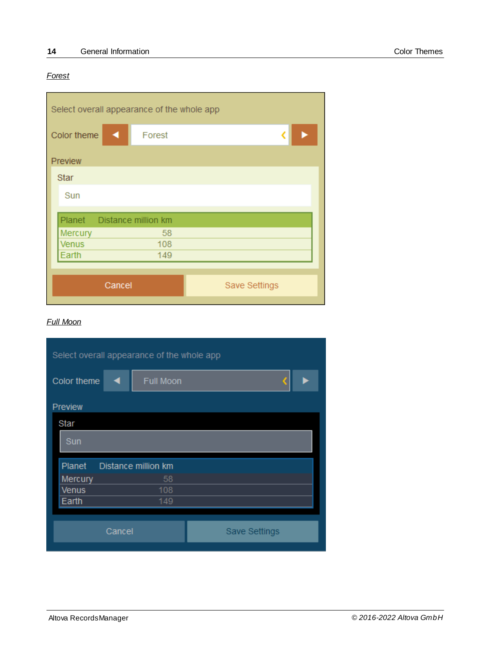#### *Forest*

| Select overall appearance of the whole app |                                |  |  |  |  |
|--------------------------------------------|--------------------------------|--|--|--|--|
| Color theme<br>a                           | Forest                         |  |  |  |  |
| Preview                                    |                                |  |  |  |  |
| <b>Star</b>                                |                                |  |  |  |  |
| Sun                                        |                                |  |  |  |  |
| Planet Distance million km                 |                                |  |  |  |  |
| Mercury                                    | 58                             |  |  |  |  |
| <b>Venus</b>                               | 108                            |  |  |  |  |
| Earth                                      | 149                            |  |  |  |  |
|                                            |                                |  |  |  |  |
|                                            | Cancel<br><b>Save Settings</b> |  |  |  |  |
|                                            |                                |  |  |  |  |

### *Full Moon*

| Select overall appearance of the whole app |                     |                      |  |  |  |
|--------------------------------------------|---------------------|----------------------|--|--|--|
| Color theme                                | <b>Full Moon</b>    |                      |  |  |  |
| <b>Preview</b>                             |                     |                      |  |  |  |
| Star                                       |                     |                      |  |  |  |
| Sun                                        |                     |                      |  |  |  |
| Planet                                     | Distance million km |                      |  |  |  |
| Mercury                                    | 58                  |                      |  |  |  |
| Venus                                      | 108                 |                      |  |  |  |
| Earth                                      | 149                 |                      |  |  |  |
|                                            |                     |                      |  |  |  |
|                                            | Cancel              | <b>Save Settings</b> |  |  |  |
|                                            |                     |                      |  |  |  |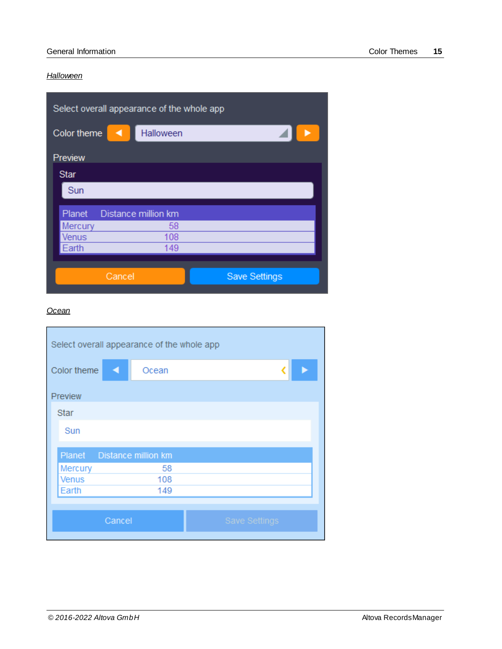#### *Halloween*

| Select overall appearance of the whole app |                     |                      |  |  |  |
|--------------------------------------------|---------------------|----------------------|--|--|--|
| Color theme                                | Halloween           |                      |  |  |  |
| Preview                                    |                     |                      |  |  |  |
| <b>Star</b>                                |                     |                      |  |  |  |
| Sun                                        |                     |                      |  |  |  |
| Planet                                     | Distance million km |                      |  |  |  |
| Mercury                                    | 58                  |                      |  |  |  |
| <b>Venus</b>                               | 108                 |                      |  |  |  |
| Earth                                      | 149                 |                      |  |  |  |
|                                            |                     |                      |  |  |  |
| Cancel                                     |                     | <b>Save Settings</b> |  |  |  |

#### *Ocean*

| Select overall appearance of the whole app |                            |  |  |  |  |
|--------------------------------------------|----------------------------|--|--|--|--|
| Color theme                                | Ocean                      |  |  |  |  |
| Preview                                    |                            |  |  |  |  |
| <b>Star</b>                                |                            |  |  |  |  |
| Sun                                        |                            |  |  |  |  |
| Planet                                     | <b>Distance million km</b> |  |  |  |  |
| Mercury                                    | 58                         |  |  |  |  |
| <b>Venus</b>                               | 108                        |  |  |  |  |
| Earth                                      | 149                        |  |  |  |  |
|                                            |                            |  |  |  |  |
| Cancel<br><b>Save Settings</b>             |                            |  |  |  |  |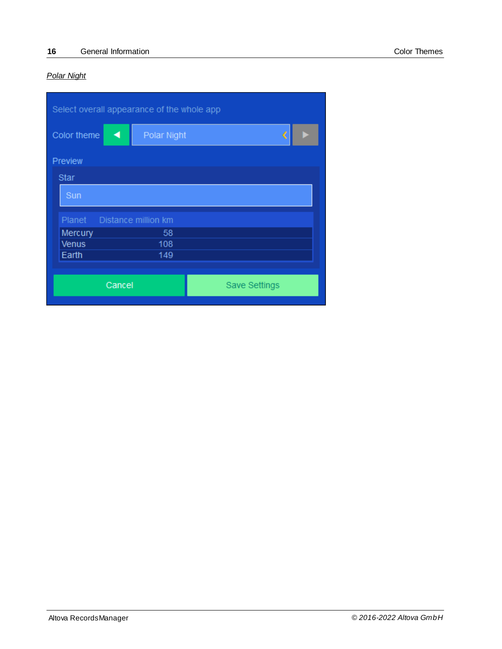# *Polar Night*

| Select overall appearance of the whole app |                     |                      |  |  |  |  |
|--------------------------------------------|---------------------|----------------------|--|--|--|--|
| Color theme                                | Polar Night<br>◀    | €                    |  |  |  |  |
| Preview                                    |                     |                      |  |  |  |  |
| <b>Star</b>                                |                     |                      |  |  |  |  |
| Sun                                        |                     |                      |  |  |  |  |
| Planet                                     | Distance million km |                      |  |  |  |  |
| Mercury                                    | 58                  |                      |  |  |  |  |
| <b>Venus</b>                               | 108                 |                      |  |  |  |  |
| Earth                                      | 149                 |                      |  |  |  |  |
|                                            |                     |                      |  |  |  |  |
|                                            | Cancel              | <b>Save Settings</b> |  |  |  |  |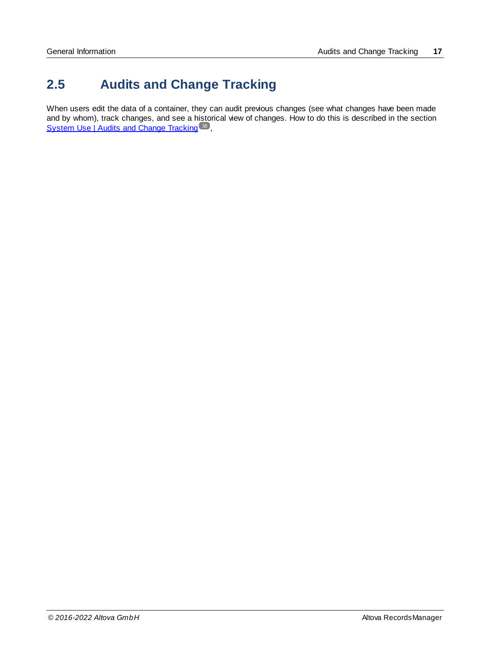# <span id="page-16-0"></span>**2.5 Audits and Change Tracking**

When users edit the data of a container, they can audit previous changes (see what changes have been made and by whom), track changes, and see a historical view of changes. How to do this is described in the section System Use | Audits and Change [Tracking](#page-37-0)<sup>38</sup>,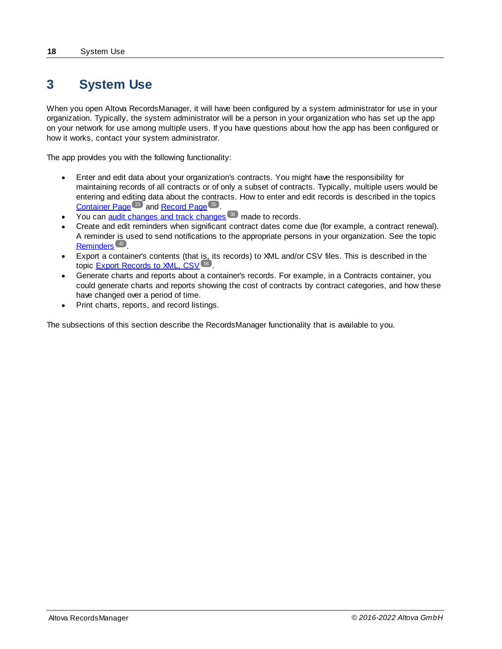# <span id="page-17-0"></span>**3 System Use**

When you open Altova RecordsManager, it will have been configured by a system administrator for use in your organization. Typically, the system administrator will be a person in your organization who has set up the app on your network for use among multiple users. If you have questions about how the app has been configured or how it works, contact your system administrator.

The app provides you with the following functionality:

- · Enter and edit data about your organization's contracts. You might have the responsibility for maintaining records of all contracts or of only a subset of contracts. Typically, multiple users would be entering and editing data about the contracts. How to enter and edit records is described in the topics [Container](#page-22-0) Page<sup>(23)</sup> and [Record](#page-30-0) Page<sup>(31)</sup>.
- ·You can **audit [changes](#page-37-0) and track changes**<sup>38</sup> made to records.
- · Create and edit reminders when significant contract dates come due (for example, a contract renewal). A reminder is used to send notifications to the appropriate persons in your organization. See the topic [Reminders](#page-41-0)<sup>42</sup>.
- · Export a container's contents (that is, its records) to XML and/or CSV files. This is described in the topic **Export [Records](#page-55-0) to XML, CSV**<sup>56</sup>.
- · Generate charts and reports about a container's records. For example, in a Contracts container, you could generate charts and reports showing the cost of contracts by contract categories, and how these have changed over a period of time.
- ·Print charts, reports, and record listings.

The subsections of this section describe the RecordsManager functionality that is available to you.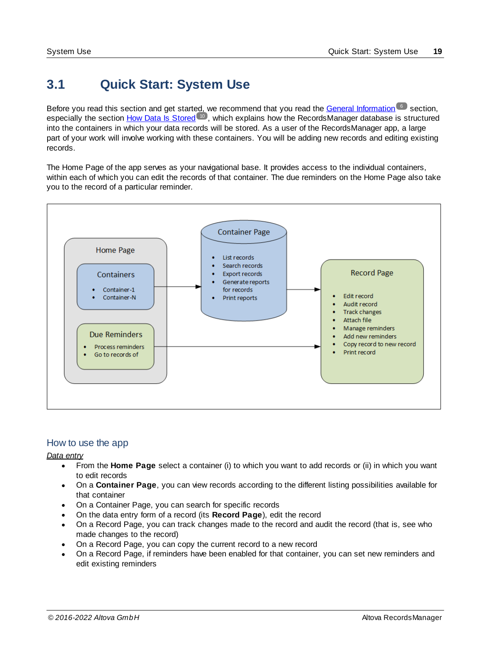# <span id="page-18-0"></span>**3.1 Quick Start: System Use**

Before you read this section and get started, we recommend that you read the General [Information](#page-5-0) 6 section, especially the section How Data Is [Stored](#page-9-0) <sup>10</sup>, which explains how the RecordsManager database is structured into the containers in which your data records will be stored. As a user of the RecordsManager app, a large part of your work will involve working with these containers. You will be adding new records and editing existing records.

The Home Page of the app serves as your navigational base. It provides access to the individual containers, within each of which you can edit the records of that container. The due reminders on the Home Page also take you to the record of a particular reminder.



# How to use the app

*Data entry*

- · From the **Home Page** select a container (i) to which you want to add records or (ii) in which you want to edit records
- · On a **Container Page**, you can view records according to the different listing possibilities available for that container
- · On a Container Page, you can search for specific records
- · On the data entry form of a record (its **Record Page**), edit the record
- · On a Record Page, you can track changes made to the record and audit the record (that is, see who made changes to the record)
- · On a Record Page, you can copy the current record to a new record
- · On a Record Page, if reminders have been enabled for that container, you can set new reminders and edit existing reminders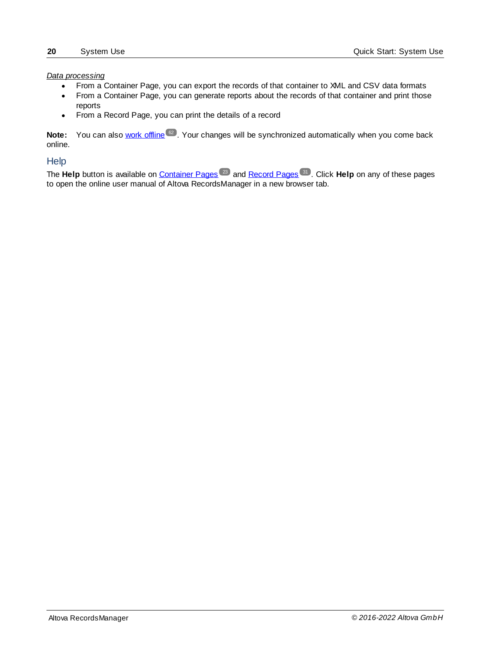#### *Data processing*

- From a Container Page, you can export the records of that container to XML and CSV data formats
- · From a Container Page, you can generate reports about the records of that container and print those reports
- ·From a Record Page, you can print the details of a record

Note: You can also work [offline](#page-61-0)<sup>62</sup>. Your changes will be synchronized automatically when you come back online.

#### <span id="page-19-0"></span>**Help**

The Help button is available on [Container](#page-22-0) Pages<sup>(23)</sup> and [Record](#page-30-0) Pages<sup>(31)</sup>. Click Help on any of these pages to open the online user manual of Altova RecordsManager in a new browser tab.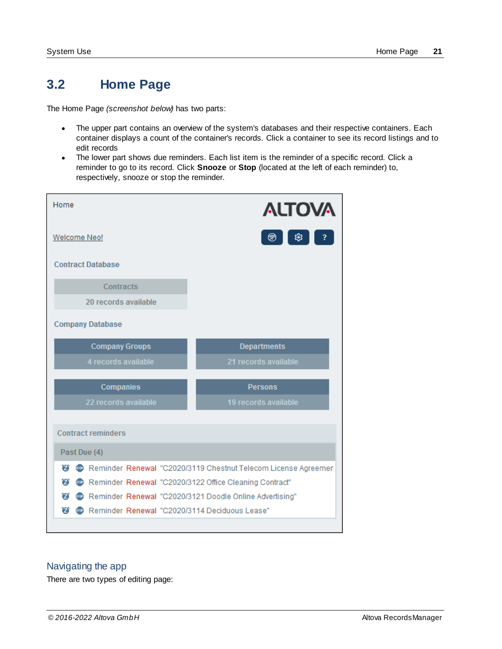# <span id="page-20-0"></span>**3.2 Home Page**

The Home Page *(screenshot below)* has two parts:

- · The upper part contains an overview of the system's databases and their respective containers. Each container displays a count of the container's records. Click a container to see its record listings and to edit records
- · The lower part shows due reminders. Each list item is the reminder of a specific record. Click a reminder to go to its record. Click **Snooze** or **Stop** (located at the left of each reminder) to, respectively, snooze or stop the reminder.

| Home                                                          | <b>ALTOVA</b>                                                  |
|---------------------------------------------------------------|----------------------------------------------------------------|
| <b>Welcome Neo!</b>                                           | 戀<br>⊛                                                         |
| <b>Contract Database</b>                                      |                                                                |
| Contracts                                                     |                                                                |
| 20 records available                                          |                                                                |
| <b>Company Database</b>                                       |                                                                |
| <b>Company Groups</b>                                         | <b>Departments</b>                                             |
| 4 records available                                           | 21 records available                                           |
| <b>Companies</b>                                              | <b>Persons</b>                                                 |
| 22 records available                                          | 19 records available                                           |
| <b>Contract reminders</b>                                     |                                                                |
| Past Due (4)                                                  |                                                                |
| $\boldsymbol{\widehat{z}}$                                    | Reminder Renewal "C2020/3119 Chestnut Telecom License Agreemen |
| <sup>8</sup> Contract" C2020/3122 Office Cleaning Contract"   |                                                                |
| Reminder Renewal "C2020/3121 Doodle Online Advertising"<br>7) |                                                                |
| Reminder Renewal "C2020/3114 Deciduous Lease"<br>σ            |                                                                |

### Navigating the app

There are two types of editing page: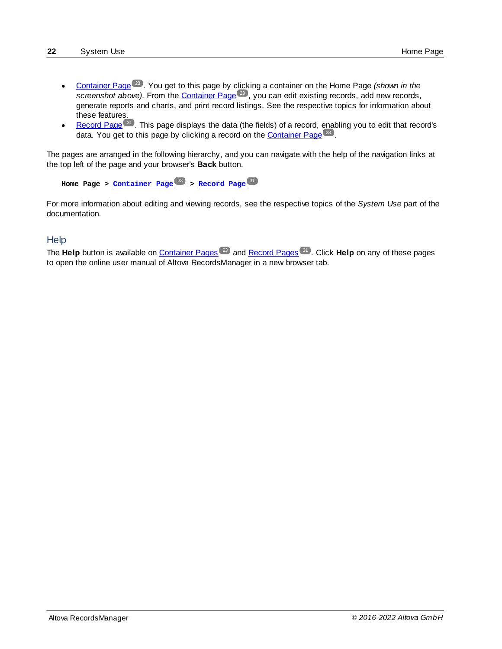- [Container](#page-22-0) Page<sup>(23)</sup>. You get to this page by clicking a container on the Home Page *(shown in the*) screenshot above). From the *[Container](#page-22-0) Page*<sup>23</sup>, you can edit existing records, add new records, generate reports and charts, and print record listings. See the respective topics for information about these features.
- [Record](#page-30-0) Page<sup>(31</sup>). This page displays the data (the fields) of a record, enabling you to edit that record's data. You get to this page by clicking a record on the [Container](#page-22-0) Page<sup>23</sup>.

The pages are arranged in the following hierarchy, and you can navigate with the help of the navigation links at the top left of the page and your browser's **Back** button.

```
Home Page > Container Page > Record Page
23 31
```
For more information about editing and viewing records, see the respective topics of the *System Use* part of the documentation.

### **Help**

The Help button is available on [Container](#page-22-0) Pages<sup>(23)</sup> and [Record](#page-30-0) Pages<sup>(31)</sup>. Click Help on any of these pages to open the online user manual of Altova RecordsManager in a new browser tab.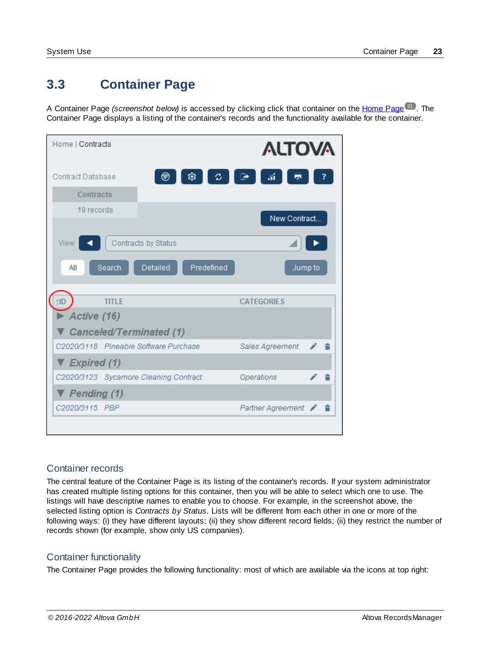# <span id="page-22-0"></span>**3.3 Container Page**

A Container Page *(screenshot below)* is accessed by clicking click that container on the [Home](#page-20-0) Page<sup>21</sup>. The Container Page displays a listing of the container's records and the functionality available for the container.

| Home   Contracts                      |                               | <b>ALTOVA</b> |
|---------------------------------------|-------------------------------|---------------|
| <b>Contract Database</b>              | 涌<br>戀<br>o.<br>☞<br>⊛        |               |
| <b>Contracts</b>                      |                               |               |
| 19 records                            |                               |               |
|                                       |                               | New Contract  |
| View                                  | Contracts by Status           |               |
| Search<br>All                         | <b>Detailed</b><br>Predefined | Jump to       |
| <b>TITI F</b><br>tID                  | <b>CATEGORIES</b>             |               |
| Active $(16)$                         |                               |               |
| <b>Canceled/Terminated (1)</b>        |                               |               |
| C2020/3118 Pineable Software Purchase | Sales Agreement               |               |
| $\nabla$ Expired (1)                  |                               |               |
| C2020/3123 Sycamore Cleaning Contract | Operations                    |               |
| $\nabla$ Pending (1)                  |                               |               |
| C2020/3115 PBP                        | <b>Partner Agreement</b>      |               |
|                                       |                               |               |

# Container records

The central feature of the Container Page is its listing of the container's records. If your system administrator has created multiple listing options for this container, then you will be able to select which one to use. The listings will have descriptive names to enable you to choose. For example, in the screenshot above, the selected listing option is *Contracts by Status*. Lists will be different from each other in one or more of the following ways: (i) they have different layouts; (ii) they show different record fields; (ii) they restrict the number of records shown (for example, show only US companies).

# Container functionality

The Container Page provides the following functionality: most of which are available via the icons at top right: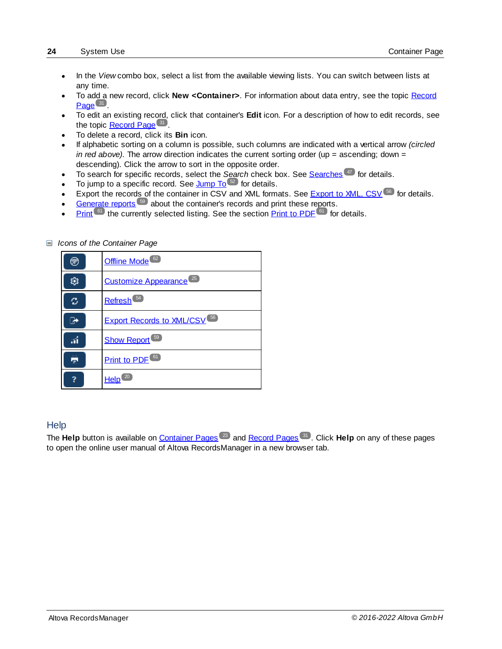- · In the *View* combo box, select a list from the available viewing lists. You can switch between lists at any time.
- · To add a new record, click **New <Container>**. For information about data entry, see the topic [Record](#page-30-0) [Page](#page-30-0)<sup>31</sup>.
- · To edit an existing record, click that container's **Edit** icon. For a description of how to edit records, see the topic **[Record](#page-30-0) Page<sup>31</sup>**.
- ·To delete a record, click its **Bin** icon.
- · If alphabetic sorting on a column is possible, such columns are indicated with a vertical arrow *(circled in red above)*. The arrow direction indicates the current sorting order (up = ascending; down = descending). Click the arrow to sort in the opposite order.
- ·To search for specific records, select the Search check box. See [Searches](#page-46-0)<sup>(47)</sup> for details.
- ·To jump to a specific record. See [Jump](#page-51-0) To <sup>52</sup> for details.
- ·[Export](#page-55-0) the records of the container in CSV and XML formats. See **Export to XML, CSV**<sup>56</sup> for details.
- ·[Generate](#page-58-0) reports<sup>59</sup> about the container's records and print these reports.
- ·**[Print](#page-60-0)<sup>61</sup>** the currently selected listing. See the section **Print to PDF** <sup>61</sup> for details.

| ⊗  | Offline Mode <sup>62</sup>                    |
|----|-----------------------------------------------|
| Ó. | Customize Appearance <sup>25</sup>            |
| c  | Refresh <sup>64</sup>                         |
| ÷  | <b>Export Records to XML/CSV<sup>56</sup></b> |
| .ú | <b>Show Report</b> <sup>59</sup>              |
| 忈  | <b>Print to PDF<sup>61</sup></b>              |
|    | <b>Help</b>                                   |

#### *Icons of the Container Page*

### **Help**

The Help button is available on [Container](#page-22-0) Pages<sup>(23)</sup> and [Record](#page-30-0) Pages<sup>(31)</sup>. Click Help on any of these pages to open the online user manual of Altova RecordsManager in a new browser tab.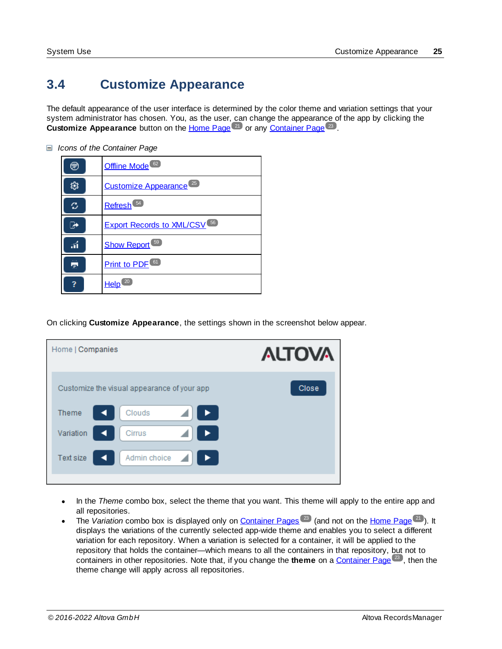# <span id="page-24-0"></span>**3.4 Customize Appearance**

The default appearance of the user interface is determined by the color theme and variation settings that your system administrator has chosen. You, as the user, can change the appearance of the app by clicking the **Customize Appearance** button on the [Home](#page-20-0) Page<sup>(21)</sup> or any [Container](#page-22-0) Page<sup>(23)</sup>.

- ⊛ [Offline](#page-61-0) Mode<sup>62</sup> 戀 Customize [Appearance](#page-24-0)<sup>(25)</sup> c, [Refresh](#page-53-0)<sup>54</sup> ☞ **Export Records to [XML/CSV](#page-55-0)**<sup>56</sup> Show [Report](#page-58-0)<sup>59</sup> áÍ 륫 **[Print](#page-60-0) to PDF**<sup>61</sup>  $\overline{\mathbf{?}}$ [Help](#page-19-0)<sup>20</sup>
- *Icons of the Container Page*

On clicking **Customize Appearance**, the settings shown in the screenshot below appear.

| Home   Companies |                                             | <b>ALTOVA</b> |
|------------------|---------------------------------------------|---------------|
|                  | Customize the visual appearance of your app | <b>Close</b>  |
| <b>Theme</b>     | Clouds                                      |               |
| Variation        | Cirrus                                      |               |
| <b>Text size</b> | Admin choice                                |               |
|                  |                                             |               |

- · In the *Theme* combo box, select the theme that you want. This theme will apply to the entire app and all repositories.
- The *Variation* combo box is displayed only on **[Container](#page-22-0) Pages**<sup>(23)</sup> (and not on the [Home](#page-20-0) Page<sup>(21)</sup>). It displays the variations of the currently selected app-wide theme and enables you to select a different variation for each repository. When a variation is selected for a container, it will be applied to the repository that holds the container—which means to all the containers in that repository, but not to containers in other repositories. Note that, if you change the **theme** on a **[Container](#page-22-0) Page<sup>(23)</sup>, then the** theme change will apply across all repositories.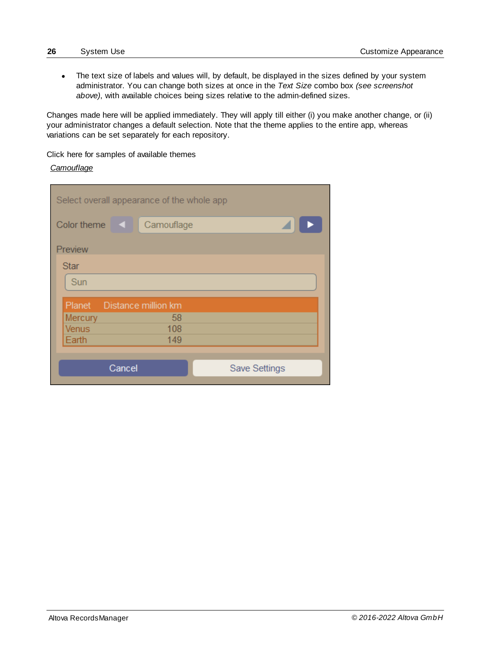· The text size of labels and values will, by default, be displayed in the sizes defined by your system administrator. You can change both sizes at once in the *Text Size* combo box *(see screenshot above)*, with available choices being sizes relative to the admin-defined sizes.

Changes made here will be applied immediately. They will apply till either (i) you make another change, or (ii) your administrator changes a default selection. Note that the theme applies to the entire app, whereas variations can be set separately for each repository.

Click here for samples of available themes

#### *Camouflage*

| Select overall appearance of the whole app |            |                      |  |
|--------------------------------------------|------------|----------------------|--|
| Color theme<br>$\blacksquare$              | Camouflage |                      |  |
| Preview                                    |            |                      |  |
| <b>Star</b>                                |            |                      |  |
| Sun                                        |            |                      |  |
| Planet Distance million km                 |            |                      |  |
| Mercury                                    | 58         |                      |  |
| <b>Venus</b>                               | 108        |                      |  |
| Earth                                      | 149        |                      |  |
|                                            |            |                      |  |
| Cancel                                     |            | <b>Save Settings</b> |  |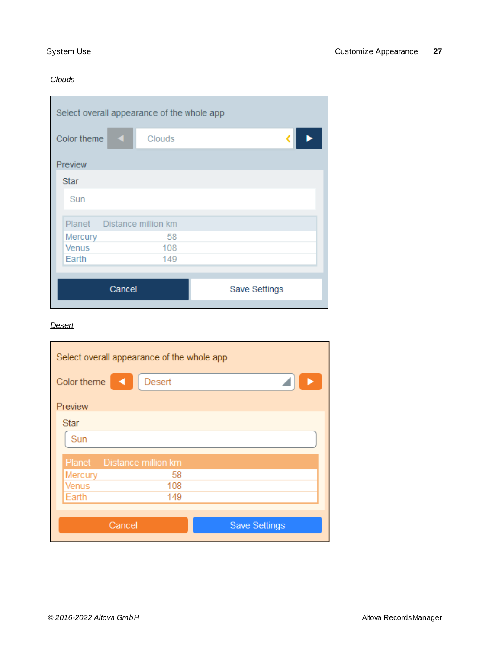# *Clouds*

| Select overall appearance of the whole app |                            |               |  |
|--------------------------------------------|----------------------------|---------------|--|
| Color theme                                | <b>Ky</b><br>Clouds        |               |  |
| Preview                                    |                            |               |  |
| <b>Star</b>                                |                            |               |  |
| Sun                                        |                            |               |  |
|                                            | Planet Distance million km |               |  |
| Mercury                                    | 58                         |               |  |
| <b>Venus</b>                               | 108                        |               |  |
| Earth                                      | 149                        |               |  |
|                                            |                            |               |  |
|                                            | Cancel                     | Save Settings |  |
|                                            |                            |               |  |

#### *Desert*

| Select overall appearance of the whole app |        |                      |  |
|--------------------------------------------|--------|----------------------|--|
| Color theme                                | Desert |                      |  |
| Preview                                    |        |                      |  |
| <b>Star</b>                                |        |                      |  |
| Sun                                        |        |                      |  |
| Planet Distance million km                 |        |                      |  |
| Mercury                                    | 58     |                      |  |
| Venus                                      | 108    |                      |  |
| Earth                                      | 149    |                      |  |
|                                            |        |                      |  |
| Cancel                                     |        | <b>Save Settings</b> |  |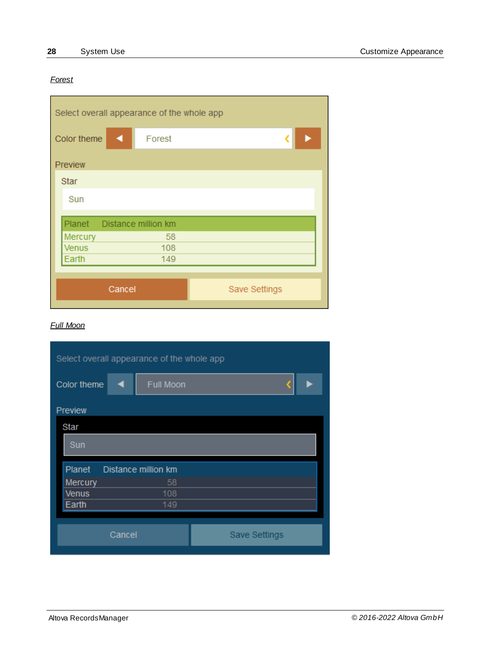# *Forest*

| Select overall appearance of the whole app |        |               |  |
|--------------------------------------------|--------|---------------|--|
| Color theme                                | Forest |               |  |
| Preview<br><b>Star</b>                     |        |               |  |
| Sun                                        |        |               |  |
| Planet Distance million km                 |        |               |  |
| Mercury                                    | 58     |               |  |
| <b>Venus</b>                               | 108    |               |  |
| Earth                                      | 149    |               |  |
|                                            |        |               |  |
| Cancel                                     |        | Save Settings |  |
|                                            |        |               |  |

#### *Full Moon*

| Select overall appearance of the whole app |                     |                      |  |
|--------------------------------------------|---------------------|----------------------|--|
| Color theme                                | Full Moon           |                      |  |
| Preview                                    |                     |                      |  |
| Star                                       |                     |                      |  |
| Sun                                        |                     |                      |  |
| Planet                                     | Distance million km |                      |  |
| Mercury                                    | 58                  |                      |  |
| <b>Venus</b>                               | 108                 |                      |  |
| Earth                                      | 149                 |                      |  |
|                                            |                     |                      |  |
|                                            | Cancel              | <b>Save Settings</b> |  |
|                                            |                     |                      |  |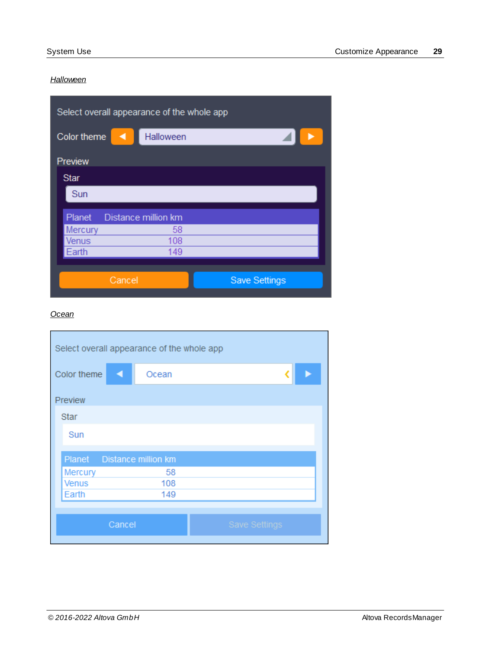# *Halloween*

| Select overall appearance of the whole app |                     |                      |  |
|--------------------------------------------|---------------------|----------------------|--|
| Color theme                                | Halloween           |                      |  |
| Preview                                    |                     |                      |  |
| <b>Star</b>                                |                     |                      |  |
| Sun                                        |                     |                      |  |
| Planet                                     | Distance million km |                      |  |
| Mercury                                    | 58                  |                      |  |
| Venus                                      | 108                 |                      |  |
| Earth                                      | 149                 |                      |  |
|                                            |                     |                      |  |
| Cancel                                     |                     | <b>Save Settings</b> |  |

### *Ocean*

| Select overall appearance of the whole app |       |                      |  |
|--------------------------------------------|-------|----------------------|--|
| Color theme                                | Ocean |                      |  |
| Preview                                    |       |                      |  |
| <b>Star</b>                                |       |                      |  |
| Sun                                        |       |                      |  |
| Planet Distance million km                 |       |                      |  |
| Mercury                                    | 58    |                      |  |
| <b>Venus</b>                               | 108   |                      |  |
| Earth                                      | 149   |                      |  |
|                                            |       |                      |  |
| Cancel                                     |       | <b>Save Settings</b> |  |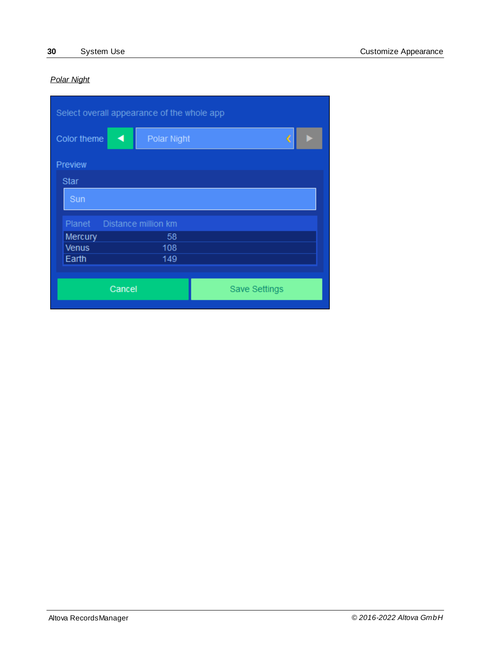# *Polar Night*

| Select overall appearance of the whole app |                     |                      |  |  |
|--------------------------------------------|---------------------|----------------------|--|--|
| Color theme<br>◀                           | <b>Polar Night</b>  |                      |  |  |
| Preview                                    |                     |                      |  |  |
| <b>Star</b>                                |                     |                      |  |  |
| Sun                                        |                     |                      |  |  |
| Planet                                     | Distance million km |                      |  |  |
| Mercury                                    | 58                  |                      |  |  |
| <b>Venus</b>                               | 108                 |                      |  |  |
| Earth                                      | 149                 |                      |  |  |
|                                            |                     |                      |  |  |
| Cancel                                     |                     | <b>Save Settings</b> |  |  |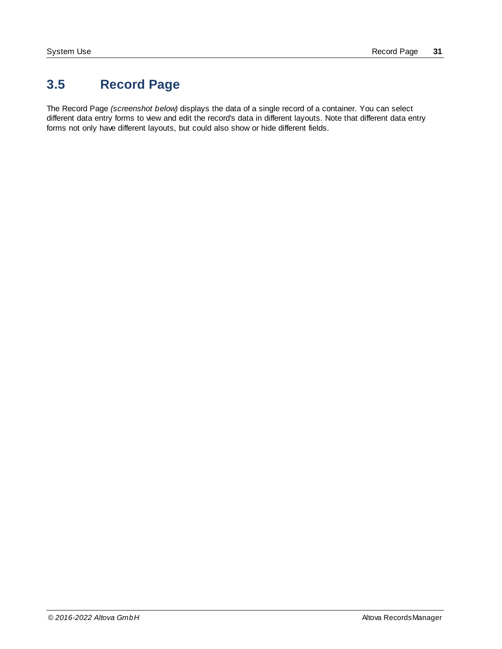# <span id="page-30-0"></span>**3.5 Record Page**

The Record Page *(screenshot below)* displays the data of a single record of a container. You can select different data entry forms to view and edit the record's data in different layouts. Note that different data entry forms not only have different layouts, but could also show or hide different fields.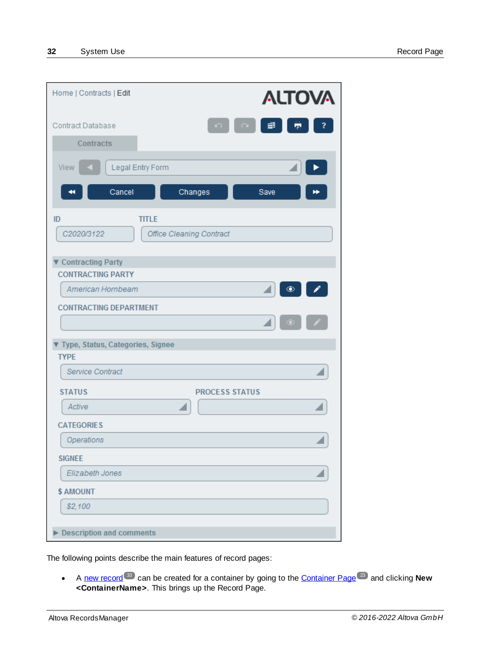| Home   Contracts   Edit                         |                                 |                       |               | <b>ALTOVA</b> |  |
|-------------------------------------------------|---------------------------------|-----------------------|---------------|---------------|--|
| <b>Contract Database</b>                        |                                 | D                     | 齳<br>$\Omega$ | ÷             |  |
| <b>Contracts</b>                                |                                 |                       |               |               |  |
| View<br>Cancel<br>44                            | Legal Entry Form                | Changes               | Save          |               |  |
| ID                                              | <b>TITLE</b>                    |                       |               |               |  |
| C2020/3122                                      | <b>Office Cleaning Contract</b> |                       |               |               |  |
| ▼ Contracting Party                             |                                 |                       |               |               |  |
| <b>CONTRACTING PARTY</b>                        |                                 |                       |               |               |  |
| American Hornbeam                               |                                 |                       |               | $^{\circ}$    |  |
| <b>CONTRACTING DEPARTMENT</b>                   |                                 |                       |               |               |  |
| Type, Status, Categories, Signee<br><b>TYPE</b> |                                 |                       |               |               |  |
| <b>Service Contract</b>                         |                                 |                       |               |               |  |
| <b>STATUS</b>                                   |                                 | <b>PROCESS STATUS</b> |               |               |  |
| Active                                          |                                 |                       |               |               |  |
| <b>CATEGORIES</b>                               |                                 |                       |               |               |  |
| Operations                                      |                                 |                       |               |               |  |
| <b>SIGNEE</b>                                   |                                 |                       |               |               |  |
| <b>Elizabeth Jones</b>                          |                                 |                       |               |               |  |
| \$ AMOUNT                                       |                                 |                       |               |               |  |
| \$2,100                                         |                                 |                       |               |               |  |
| <b>Description and comments</b>                 |                                 |                       |               |               |  |

The following points describe the main features of record pages:

·A new [record](#page-32-0)  $^{\omega}$  can be created for a container by going to the [Container](#page-22-0) Page <sup>23</sup> and clicking **New <ContainerName>**. This brings up the Record Page.  $33$  can be created for a container by going to the Container Bags  $^{23}$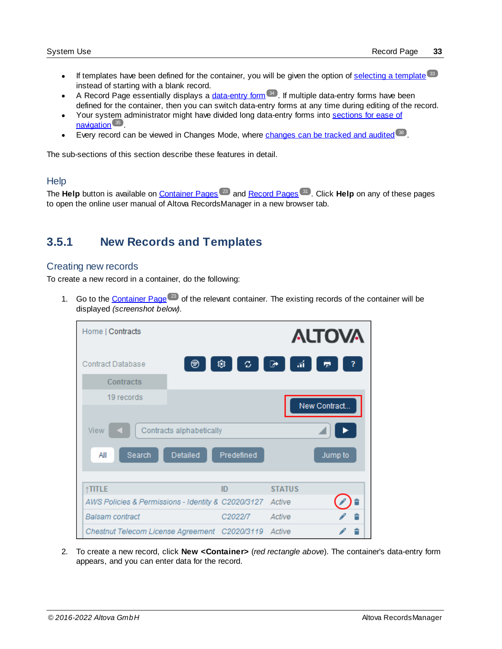- ·If templates have been defined for the container, you will be given the option of [selecting](#page-32-0) a template 33 instead of starting with a blank record.
- A Record Page essentially displays a [data-entry](#page-33-0) form <sup>34</sup>. If multiple data-entry forms have been defined for the container, then you can switch data-entry forms at any time during editing of the record.
- ·Your system administrator might have divided long data-entry forms into [sections](#page-34-0) for ease of [navigation](#page-34-0)<sup>35</sup>.
- ·Every record can be viewed in Changes Mode, where [changes](#page-37-0) can be tracked and audited 38.

The sub-sections of this section describe these features in detail.

#### **Help**

The Help button is available on [Container](#page-22-0) Pages<sup>(23)</sup> and [Record](#page-30-0) Pages<sup>(31)</sup>. Click Help on any of these pages to open the online user manual of Altova RecordsManager in a new browser tab.

# <span id="page-32-0"></span>**3.5.1 New Records and Templates**

#### Creating new records

To create a new record in a container, do the following:

1. Go to the [Container](#page-22-0) Page<sup>(23)</sup> of the relevant container. The existing records of the container will be displayed *(screenshot below)*.

| Home   Contracts                                                     |            |               | <b>ALTOVA</b> |
|----------------------------------------------------------------------|------------|---------------|---------------|
| ⊛<br><b>Contract Database</b>                                        | 戀<br>C.    | áĹ,<br>☞      | ē             |
| Contracts                                                            |            |               |               |
| 19 records                                                           |            |               | New Contract  |
| View<br>Contracts alphabetically<br>Search<br><b>Detailed</b><br>All | Predefined |               | Jump to       |
| <b>TITLE</b>                                                         | ID         | <b>STATUS</b> |               |
| AWS Policies & Permissions - Identity & C2020/3127                   |            | Active        |               |
| <b>Balsam</b> contract                                               | C2022/7    | Active        |               |
| Chestnut Telecom License Agreement C2020/3119                        |            | Active        |               |

2. To create a new record, click **New <Container>** (*red rectangle above*). The container's data-entry form appears, and you can enter data for the record.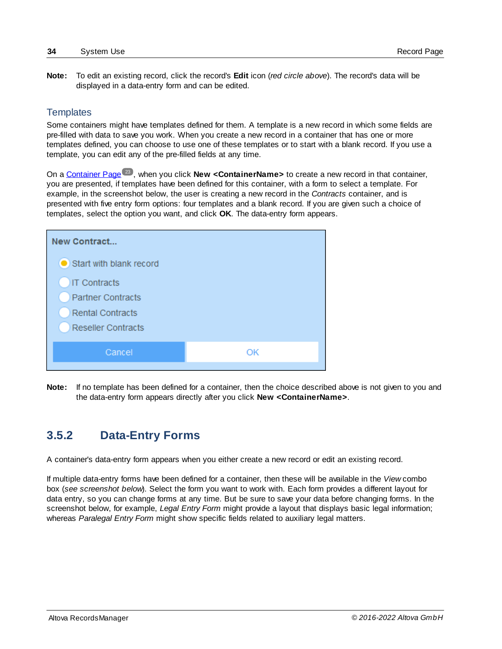**Note:** To edit an existing record, click the record's **Edit** icon (*red circle above*). The record's data will be displayed in a data-entry form and can be edited.

# **Templates**

Some containers might have templates defined for them. A template is a new record in which some fields are pre-filled with data to save you work. When you create a new record in a container that has one or more templates defined, you can choose to use one of these templates or to start with a blank record. If you use a template, you can edit any of the pre-filled fields at any time.

On a **[Container](#page-22-0) Page<sup>(23)</sup>, when you click New <ContainerName>** to create a new record in that container, you are presented, if templates have been defined for this container, with a form to select a template. For example, in the screenshot below, the user is creating a new record in the *Contracts* container, and is presented with five entry form options: four templates and a blank record. If you are given such a choice of templates, select the option you want, and click **OK**. The data-entry form appears.

| New Contract              |    |
|---------------------------|----|
| Start with blank record   |    |
| <b>IT Contracts</b>       |    |
| <b>Partner Contracts</b>  |    |
| <b>Rental Contracts</b>   |    |
| <b>Reseller Contracts</b> |    |
|                           |    |
|                           |    |
| Cancel                    | OK |

**Note:** If no template has been defined for a container, then the choice described above is not given to you and the data-entry form appears directly after you click **New <ContainerName>**.

# <span id="page-33-0"></span>**3.5.2 Data-Entry Forms**

A container's data-entry form appears when you either create a new record or edit an existing record.

If multiple data-entry forms have been defined for a container, then these will be available in the *View* combo box (*see screenshot below*). Select the form you want to work with. Each form provides a different layout for data entry, so you can change forms at any time. But be sure to save your data before changing forms. In the screenshot below, for example, *Legal Entry Form* might provide a layout that displays basic legal information; whereas *Paralegal Entry Form* might show specific fields related to auxiliary legal matters.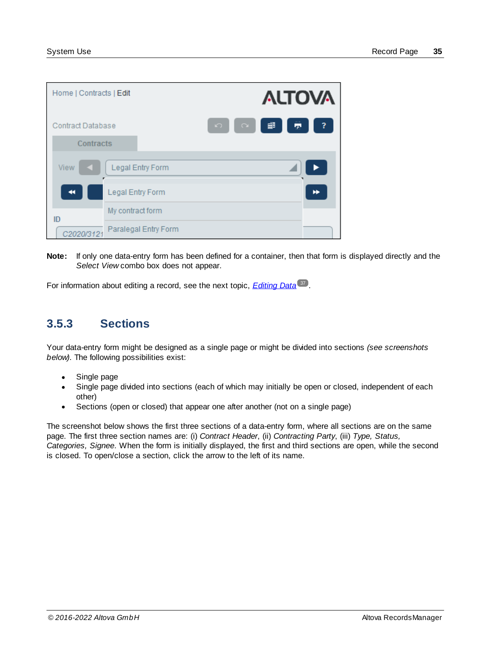| Home   Contracts   Edit  |                      |       | <b>ALTOVA</b> |       |      |
|--------------------------|----------------------|-------|---------------|-------|------|
| <b>Contract Database</b> | $\Omega$             | 1 Q 1 | ∎             | - 壹 - | $-2$ |
| Contracts                |                      |       |               |       |      |
| <b>View</b><br>K.        | Legal Entry Form     |       |               |       |      |
|                          | Legal Entry Form     |       |               |       |      |
| ID                       | My contract form     |       |               |       |      |
| C2020/3121               | Paralegal Entry Form |       |               |       |      |

**Note:** If only one data-entry form has been defined for a container, then that form is displayed directly and the *Select View* combo box does not appear.

For information about editing a record, see the next topic, *[Editing](#page-36-0) Data*<sup>37</sup>.

# <span id="page-34-0"></span>**3.5.3 Sections**

Your data-entry form might be designed as a single page or might be divided into sections *(see screenshots below)*. The following possibilities exist:

- ·Single page
- · Single page divided into sections (each of which may initially be open or closed, independent of each other)
- $\bullet$ Sections (open or closed) that appear one after another (not on a single page)

The screenshot below shows the first three sections of a data-entry form, where all sections are on the same page. The first three section names are: (i) *Contract Header*, (ii) *Contracting Party*, (iii) *Type, Status, Categories, Signee*. When the form is initially displayed, the first and third sections are open, while the second is closed. To open/close a section, click the arrow to the left of its name.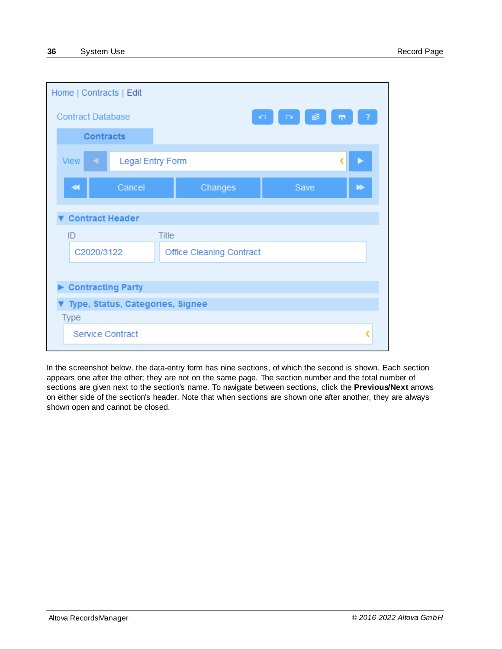| Home   Contracts   Edit          |                                 |                      |     |
|----------------------------------|---------------------------------|----------------------|-----|
| <b>Contract Database</b>         |                                 | $\sqrt{2}$<br>$\sim$ | rp. |
| <b>Contracts</b>                 |                                 |                      |     |
| <b>View</b><br>м                 | <b>Legal Entry Form</b>         |                      |     |
| Cancel<br>∢                      | Changes                         | Save                 | D   |
| <b>Contract Header</b>           |                                 |                      |     |
| ID                               | <b>Title</b>                    |                      |     |
| C2020/3122                       | <b>Office Cleaning Contract</b> |                      |     |
|                                  |                                 |                      |     |
| <b>Contracting Party</b>         |                                 |                      |     |
| Type, Status, Categories, Signee |                                 |                      |     |
| <b>Type</b>                      |                                 |                      |     |
| <b>Service Contract</b>          |                                 |                      |     |

In the screenshot below, the data-entry form has nine sections, of which the second is shown. Each section appears one after the other; they are not on the same page. The section number and the total number of sections are given next to the section's name. To navigate between sections, click the **Previous/Next** arrows on either side of the section's header. Note that when sections are shown one after another, they are always shown open and cannot be closed.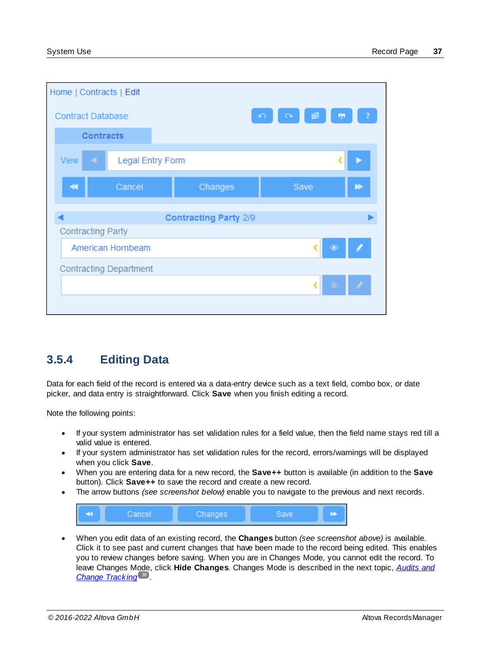| Home   Contracts   Edit       |                         |                              |            |           |         |
|-------------------------------|-------------------------|------------------------------|------------|-----------|---------|
| <b>Contract Database</b>      |                         |                              | $\sqrt{2}$ |           | l pr    |
| <b>Contracts</b>              |                         |                              |            |           |         |
| <b>View</b><br>◀.             | <b>Legal Entry Form</b> |                              |            |           |         |
| ∢                             | Cancel                  | Changes                      |            | Save      | ▶       |
|                               |                         | <b>Contracting Party 2/9</b> |            |           |         |
| <b>Contracting Party</b>      |                         |                              |            |           |         |
|                               | American Hornbeam       |                              |            | $\bullet$ |         |
| <b>Contracting Department</b> |                         |                              |            |           |         |
|                               |                         |                              |            |           | $\odot$ |
|                               |                         |                              |            |           |         |

# <span id="page-36-0"></span>**3.5.4 Editing Data**

Data for each field of the record is entered via a data-entry device such as a text field, combo box, or date picker, and data entry is straightforward. Click **Save** when you finish editing a record.

Note the following points:

- · If your system administrator has set validation rules for a field value, then the field name stays red till a valid value is entered.
- · If your system administrator has set validation rules for the record, errors/warnings will be displayed when you click **Save**.
- · When you are entering data for a new record, the **Save++** button is available (in addition to the **Save** button). Click **Save++** to save the record and create a new record.
- ·The arrow buttons *(see screenshot below)* enable you to navigate to the previous and next records.



· When you edit data of an existing record, the **Changes** button *(see screenshot above)* is available. Click it to see past and current changes that have been made to the record being edited. This enables you to review changes before saving. When you are in Changes Mode, you cannot edit the record. To leave Changes Mode, click **Hide Changes**. Changes Mode is described in the next topic, *[Audits](#page-37-0) and* **Change [Tracking](#page-37-0)**<sup>38</sup>.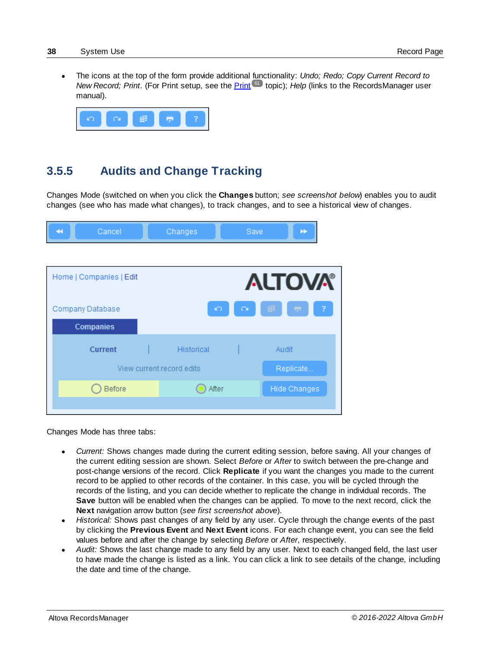· The icons at the top of the form provide additional functionality: *Undo; Redo; Copy Current Record to New Record; [Print](#page-60-0).* (For Print setup, see the *Print*<sup>[61]</sup> topic); *Help* (links to the RecordsManager user manual).



# <span id="page-37-0"></span>**3.5.5 Audits and Change Tracking**

Changes Mode (switched on when you click the **Changes** button; *see screenshot below*) enables you to audit changes (see who has made what changes), to track changes, and to see a historical view of changes.

| 44 | Cancel                  | Changes                   | Save                 | ÞÞ.                 |                         |
|----|-------------------------|---------------------------|----------------------|---------------------|-------------------------|
|    |                         |                           |                      |                     |                         |
|    | Home   Companies   Edit |                           |                      | <b>ALTOVA®</b>      |                         |
|    | Company Database        |                           | $\sqrt{2}$<br>$\sim$ | <b>Contract</b>     | $\overline{\mathbf{?}}$ |
|    | <b>Companies</b>        |                           |                      |                     |                         |
|    | <b>Current</b>          | <b>Historical</b>         |                      | Audit               |                         |
|    |                         | View current record edits |                      | Replicate           |                         |
|    | <b>Before</b>           | After                     |                      | <b>Hide Changes</b> |                         |
|    |                         |                           |                      |                     |                         |

Changes Mode has three tabs:

- · *Current:* Shows changes made during the current editing session, before saving. All your changes of the current editing session are shown. Select *Before* or *After* to switch between the pre-change and post-change versions of the record. Click **Replicate** if you want the changes you made to the current record to be applied to other records of the container. In this case, you will be cycled through the records of the listing, and you can decide whether to replicate the change in individual records. The **Save** button will be enabled when the changes can be applied. To move to the next record, click the **Next** navigation arrow button (*see first screenshot above*).
- · *Historical:* Shows past changes of any field by any user. Cycle through the change events of the past by clicking the **Previous Event** and **Next Event** icons. For each change event, you can see the field values before and after the change by selecting *Before* or *After*, respectively.
- · *Audit:* Shows the last change made to any field by any user. Next to each changed field, the last user to have made the change is listed as a link. You can click a link to see details of the change, including the date and time of the change.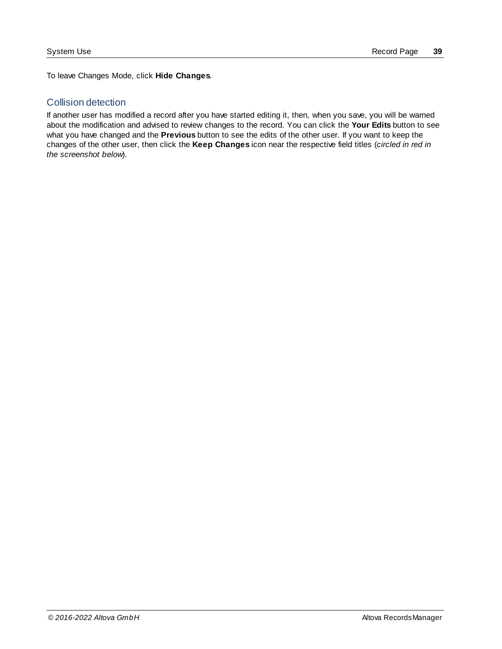To leave Changes Mode, click **Hide Changes**.

### Collision detection

If another user has modified a record after you have started editing it, then, when you save, you will be warned about the modification and advised to review changes to the record. You can click the **Your Edits** button to see what you have changed and the **Previous** button to see the edits of the other user. If you want to keep the changes of the other user, then click the **Keep Changes** icon near the respective field titles (*circled in red in the screenshot below*).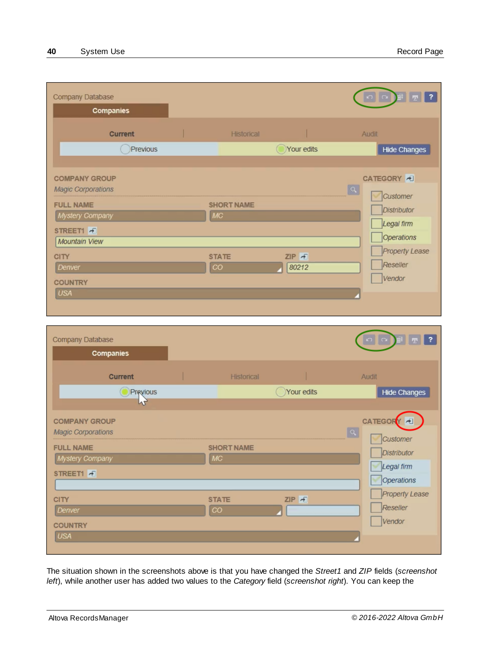| Company Database<br><b>Companies</b>                                                                                                                                     |                 |                                   |                |       | <b>E</b> 7<br>$\Omega$                                                                                                  |
|--------------------------------------------------------------------------------------------------------------------------------------------------------------------------|-----------------|-----------------------------------|----------------|-------|-------------------------------------------------------------------------------------------------------------------------|
| <b>Current</b><br>Previous                                                                                                                                               |                 | <b>Historical</b>                 | Your edits     | Audit | <b>Hide Changes</b>                                                                                                     |
| <b>COMPANY GROUP</b><br><b>Magic Corporations</b><br><b>FULL NAME</b><br>Mystery Company<br>STREET1 +<br>Mountain View<br><b>CITY</b><br>Denver<br><b>COUNTRY</b><br>USA | MC<br><b>CO</b> | <b>SHORT NAME</b><br><b>STATE</b> | ZIP F<br>80212 | a     | CATEGORY 4<br>Customer<br>Distributor<br>Legal firm<br><b>Operations</b><br><b>Property Lease</b><br>Reseller<br>Vendor |

| Company Database          |                         |            | $\sim$<br>$\Omega$    |
|---------------------------|-------------------------|------------|-----------------------|
| Companies                 |                         |            |                       |
| <b>Current</b>            | Historical              |            | Audit                 |
| Previous                  |                         | Your edits | <b>Hide Changes</b>   |
| $\sim$                    |                         |            |                       |
| <b>COMPANY GROUP</b>      |                         |            | CATEGORY <sup>4</sup> |
| <b>Magic Corporations</b> |                         |            | a <br>Customer        |
| <b>FULL NAME</b>          | <b>SHORT NAME</b><br>MC |            | <b>Distributor</b>    |
| Mystery Company           |                         |            | Legal firm            |
| STREET1 <sub>4</sub>      |                         |            | <b>Operations</b>     |
| <b>CITY</b>               | <b>STATE</b>            | ZIP F      | <b>Property Lease</b> |
| Denver                    | CO                      |            | Reseller              |
| <b>COUNTRY</b>            |                         |            | Vendor                |
| <b>USA</b>                |                         |            |                       |
|                           |                         |            |                       |

The situation shown in the screenshots above is that you have changed the *Street1* and *ZIP* fields (*screenshot left*), while another user has added two values to the *Category* field (*screenshot right*). You can keep the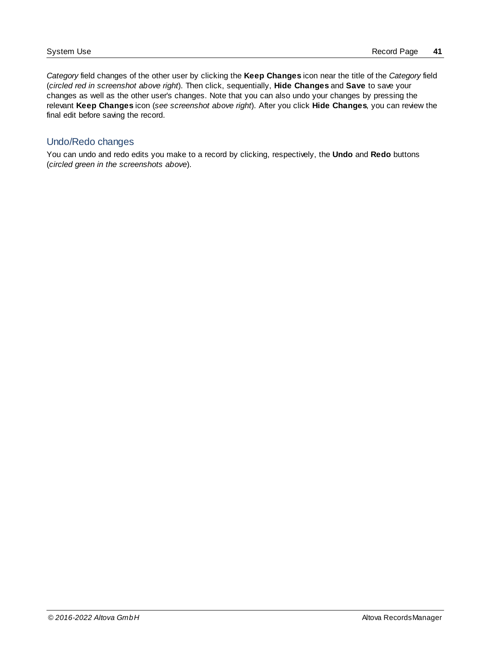*Category* field changes of the other user by clicking the **Keep Changes** icon near the title of the *Category* field (*circled red in screenshot above right*). Then click, sequentially, **Hide Changes** and **Save** to save your changes as well as the other user's changes. Note that you can also undo your changes by pressing the relevant **Keep Changes** icon (*see screenshot above right*). After you click **Hide Changes**, you can review the final edit before saving the record.

### Undo/Redo changes

You can undo and redo edits you make to a record by clicking, respectively, the **Undo** and **Redo** buttons (*circled green in the screenshots above*).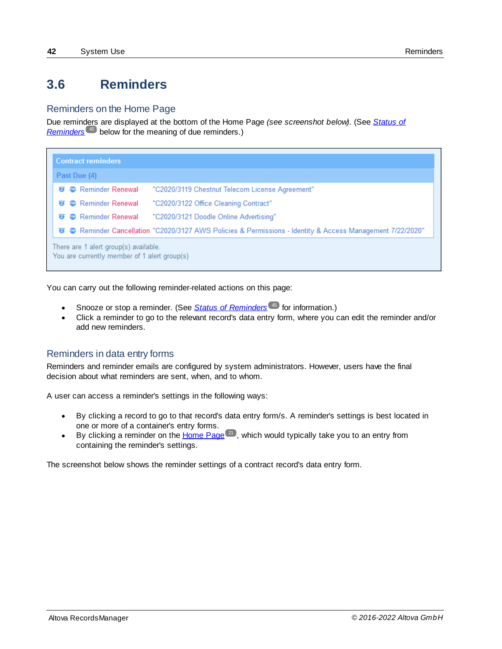# <span id="page-41-0"></span>**3.6 Reminders**

### Reminders on the Home Page

Due reminders are displayed at the bottom of the Home Page *(see screenshot below)*. (See *[Status](#page-44-0) of [Reminders](#page-44-0)*<sup>45</sup> below for the meaning of due reminders.)

| <b>Contract reminders</b>                                                                                       |  |
|-----------------------------------------------------------------------------------------------------------------|--|
| Past Due (4)                                                                                                    |  |
| <b>窗 ● Reminder Renewal</b><br>"C2020/3119 Chestnut Telecom License Agreement"                                  |  |
| <b>B</b> Reminder Renewal<br>"C2020/3122 Office Cleaning Contract"<br>$\boldsymbol{\widehat{a}}$                |  |
| <b>Solution Renewal</b> Pennewal<br>"C2020/3121 Doodle Online Advertising"<br>$\boldsymbol{a}$                  |  |
| 1/22/2020 Reminder Cancellation "C2020/3127 AWS Policies & Permissions - Identity & Access Management 7/22/2020 |  |
| There are 1 alert group(s) available.<br>You are currently member of 1 alert group(s)                           |  |

You can carry out the following reminder-related actions on this page:

- Snooze or stop a reminder. (See **Status of [Reminders](#page-44-0)**<sup>(45)</sup> for information.)
- Click a reminder to go to the relevant record's data entry form, where you can edit the reminder and/or add new reminders.

# Reminders in data entry forms

Reminders and reminder emails are configured by system administrators. However, users have the final decision about what reminders are sent, when, and to whom.

A user can access a reminder's settings in the following ways:

- · By clicking a record to go to that record's data entry form/s. A reminder's settings is best located in one or more of a container's entry forms.
- By clicking a reminder on the  $H$ ome Page  $(21)$ , which would typically take you to an entry from containing the reminder's settings.

The screenshot below shows the reminder settings of a contract record's data entry form.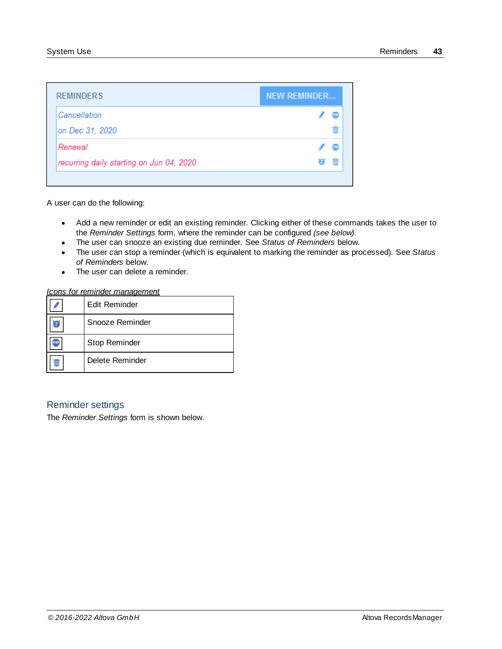| <b>REMINDERS</b>                         | <b>NEW REMINDER</b> |  |
|------------------------------------------|---------------------|--|
| Cancellation                             |                     |  |
| on Dec 31, 2020                          |                     |  |
| Renewal                                  |                     |  |
| recurring daily starting on Jun 04, 2020 |                     |  |

A user can do the following:

- · Add a new reminder or edit an existing reminder. Clicking either of these commands takes the user to the *Reminder Settings* form, where the reminder can be configured *(see below)*.
- ·The user can snooze an existing due reminder. See *Status of Reminders* below.
- · The user can stop a reminder (which is equivalent to marking the reminder as processed). See *Status of Reminders* below.
- ·The user can delete a reminder.

| Icons for reminder management |
|-------------------------------|
|-------------------------------|

| Edit Reminder   |
|-----------------|
| Snooze Reminder |
| Stop Reminder   |
| Delete Reminder |

# Reminder settings

The *Reminder Settings* form is shown below.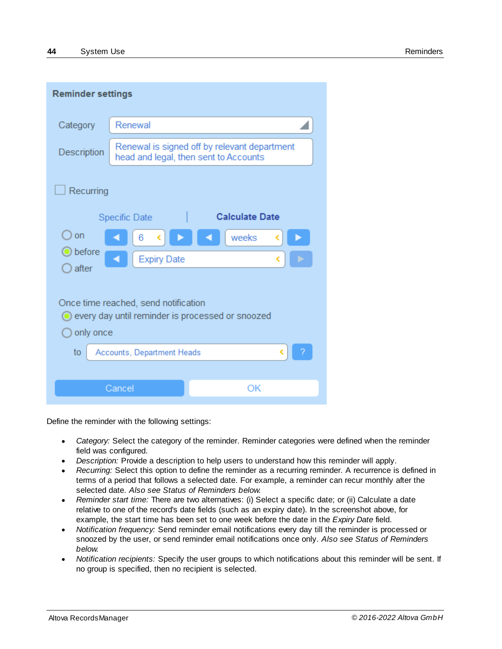| <b>Reminder settings</b>                                                                              |                            |                                                                                       |  |  |  |  |  |  |
|-------------------------------------------------------------------------------------------------------|----------------------------|---------------------------------------------------------------------------------------|--|--|--|--|--|--|
| Category                                                                                              | Renewal                    |                                                                                       |  |  |  |  |  |  |
| Description                                                                                           |                            | Renewal is signed off by relevant department<br>head and legal, then sent to Accounts |  |  |  |  |  |  |
| Recurring<br><b>Calculate Date</b><br><b>Specific Date</b>                                            |                            |                                                                                       |  |  |  |  |  |  |
| on                                                                                                    | 6                          | weeks                                                                                 |  |  |  |  |  |  |
| before<br>after                                                                                       | <b>Expiry Date</b>         |                                                                                       |  |  |  |  |  |  |
| Once time reached, send notification<br>every day until reminder is processed or snoozed<br>only once |                            |                                                                                       |  |  |  |  |  |  |
| to                                                                                                    | Accounts, Department Heads |                                                                                       |  |  |  |  |  |  |
|                                                                                                       |                            |                                                                                       |  |  |  |  |  |  |
|                                                                                                       | Cancel                     | OK                                                                                    |  |  |  |  |  |  |

Define the reminder with the following settings:

- · *Category:* Select the category of the reminder. Reminder categories were defined when the reminder field was configured.
- · *Description:* Provide a description to help users to understand how this reminder will apply.
- · *Recurring:* Select this option to define the reminder as a recurring reminder. A recurrence is defined in terms of a period that follows a selected date. For example, a reminder can recur monthly after the selected date. *Also see Status of Reminders below.*
- · *Reminder start time:* There are two alternatives: (i) Select a specific date; or (ii) Calculate a date relative to one of the record's date fields (such as an expiry date). In the screenshot above, for example, the start time has been set to one week before the date in the *Expiry Date* field.
- · *Notification frequency:* Send reminder email notifications every day till the reminder is processed or snoozed by the user, or send reminder email notifications once only. *Also see Status of Reminders below.*
- · *Notification recipients:* Specify the user groups to which notifications about this reminder will be sent. If no group is specified, then no recipient is selected.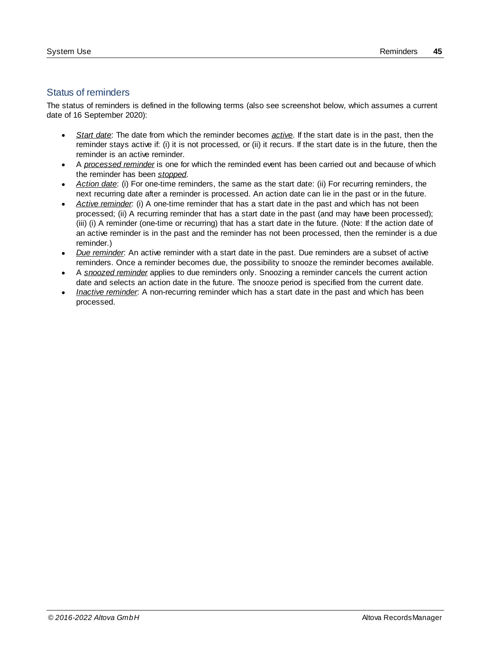### <span id="page-44-0"></span>Status of reminders

The status of reminders is defined in the following terms (also see screenshot below, which assumes a current date of 16 September 2020):

- · *Start date*: The date from which the reminder becomes *active*. If the start date is in the past, then the reminder stays active if: (i) it is not processed, or (ii) it recurs. If the start date is in the future, then the reminder is an active reminder.
- · A *processed reminder* is one for which the reminded event has been carried out and because of which the reminder has been *stopped*.
- · *Action date*: (i) For one-time reminders, the same as the start date: (ii) For recurring reminders, the next recurring date after a reminder is processed. An action date can lie in the past or in the future.
- · *Active reminder*: (i) A one-time reminder that has a start date in the past and which has not been processed; (ii) A recurring reminder that has a start date in the past (and may have been processed); (iii) (i) A reminder (one-time or recurring) that has a start date in the future. (Note: If the action date of an active reminder is in the past and the reminder has not been processed, then the reminder is a due reminder.)
- · *Due reminder*: An active reminder with a start date in the past. Due reminders are a subset of active reminders. Once a reminder becomes due, the possibility to snooze the reminder becomes available.
- · A *snoozed reminder* applies to due reminders only. Snoozing a reminder cancels the current action date and selects an action date in the future. The snooze period is specified from the current date.
- · *Inactive reminder*: A non-recurring reminder which has a start date in the past and which has been processed.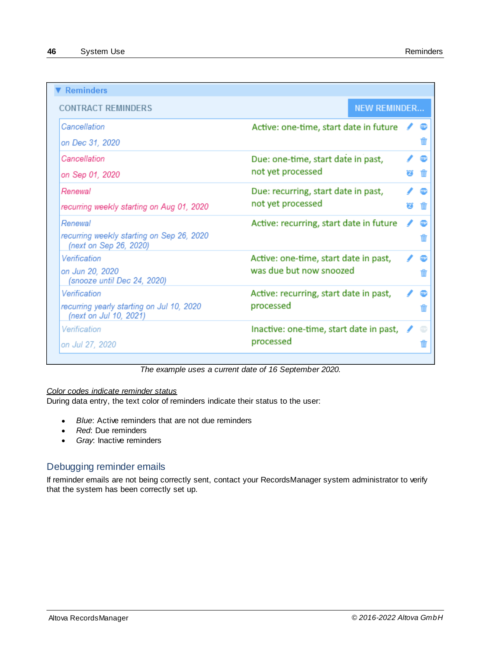| <b>Reminders</b>                                                    |                                           |   |  |
|---------------------------------------------------------------------|-------------------------------------------|---|--|
| <b>CONTRACT REMINDERS</b>                                           | <b>NEW REMINDER</b>                       |   |  |
| Cancellation                                                        | Active: one-time, start date in future    |   |  |
| on Dec 31, 2020                                                     |                                           |   |  |
| Cancellation                                                        | Due: one-time, start date in past,        |   |  |
| on Sep 01, 2020                                                     | not yet processed                         |   |  |
| Renewal                                                             | Due: recurring, start date in past,       |   |  |
| recurring weekly starting on Aug 01, 2020                           | not yet processed                         | П |  |
| Renewal                                                             | Active: recurring, start date in future   |   |  |
| recurring weekly starting on Sep 26, 2020<br>(next on Sep 26, 2020) |                                           |   |  |
| Verification                                                        | Active: one-time, start date in past,     |   |  |
| on Jun 20, 2020<br>(snooze until Dec 24, 2020)                      | was due but now snoozed                   |   |  |
| Verification                                                        | Active: recurring, start date in past,    |   |  |
| recurring yearly starting on Jul 10, 2020<br>(next on Jul 10, 2021) | processed                                 |   |  |
| Verification                                                        | Inactive: one-time, start date in past, ● |   |  |
| on Jul 27, 2020                                                     | processed                                 |   |  |

*The example uses a current date of 16 September 2020.*

#### *Color codes indicate reminder status*

During data entry, the text color of reminders indicate their status to the user:

- · *Blue*: Active reminders that are not due reminders
- $\bullet$ *Red*: Due reminders
- · *Gray*: Inactive reminders

# Debugging reminder emails

If reminder emails are not being correctly sent, contact your RecordsManager system administrator to verify that the system has been correctly set up.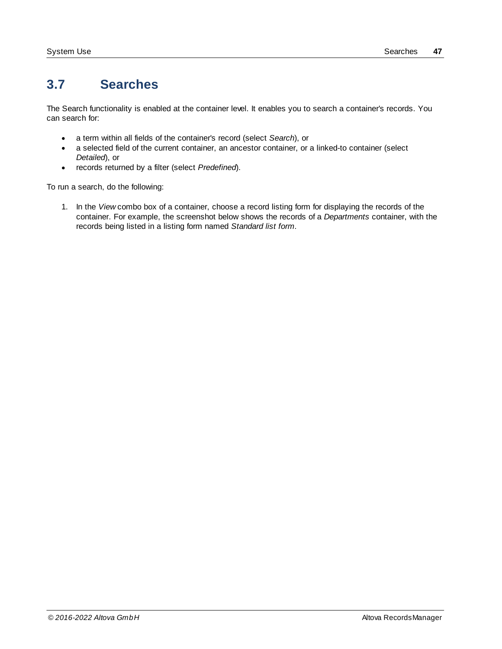# <span id="page-46-0"></span>**3.7 Searches**

The Search functionality is enabled at the container level. It enables you to search a container's records. You can search for:

- ·a term within all fields of the container's record (select *Search*), or
- · a selected field of the current container, an ancestor container, or a linked-to container (select *Detailed*), or
- ·records returned by a filter (select *Predefined*).

To run a search, do the following:

1. In the *View* combo box of a container, choose a record listing form for displaying the records of the container. For example, the screenshot below shows the records of a *Departments* container, with the records being listed in a listing form named *Standard list form*.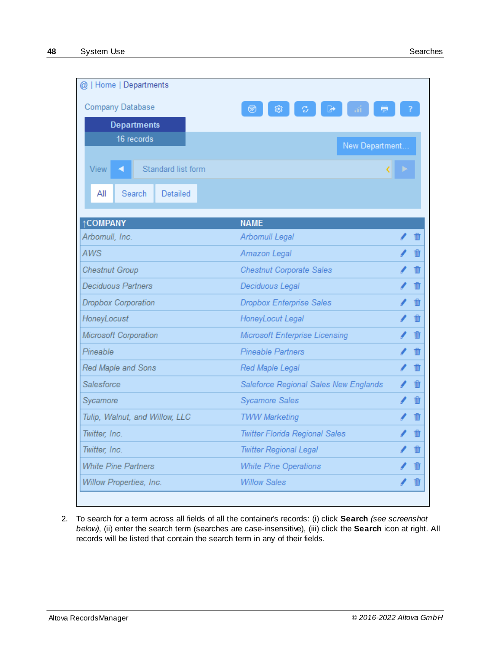| @   Home   Departments                        |                                       |     |
|-----------------------------------------------|---------------------------------------|-----|
| <b>Company Database</b><br><b>Departments</b> |                                       |     |
| 16 records                                    | New Department                        |     |
| View<br>Standard list form                    |                                       |     |
| Search<br>Detailed<br>All                     |                                       |     |
| <b>†COMPANY</b>                               | <b>NAME</b>                           |     |
| Arbomull, Inc.                                | <b>Arbomull Legal</b>                 |     |
| <b>AWS</b>                                    | <b>Amazon Legal</b>                   |     |
| <b>Chestnut Group</b>                         | <b>Chestnut Corporate Sales</b>       |     |
| <b>Deciduous Partners</b>                     | Deciduous Legal                       |     |
| <b>Dropbox Corporation</b>                    | <b>Dropbox Enterprise Sales</b>       |     |
| HoneyLocust                                   | HoneyLocut Legal                      | ₩   |
| Microsoft Corporation                         | Microsoft Enterprise Licensing        |     |
| Pineable                                      | <b>Pineable Partners</b>              |     |
| Red Maple and Sons                            | Red Maple Legal                       | 111 |
| Salesforce                                    | Saleforce Regional Sales New Englands |     |
| Sycamore                                      | <b>Sycamore Sales</b>                 |     |
| Tulip, Walnut, and Willow, LLC                | <b>TWW Marketing</b>                  |     |
| Twitter, Inc.                                 | <b>Twitter Florida Regional Sales</b> |     |
| Twitter, Inc.                                 | <b>Twitter Regional Legal</b>         |     |
| <b>White Pine Partners</b>                    | <b>White Pine Operations</b>          | Ŵ   |
| Willow Properties, Inc.                       | <b>Willow Sales</b>                   | Ŵ   |

2. To search for a term across all fields of all the container's records: (i) click **Search** *(see screenshot below)*, (ii) enter the search term (searches are case-insensitive), (iii) click the **Search** icon at right. All records will be listed that contain the search term in any of their fields.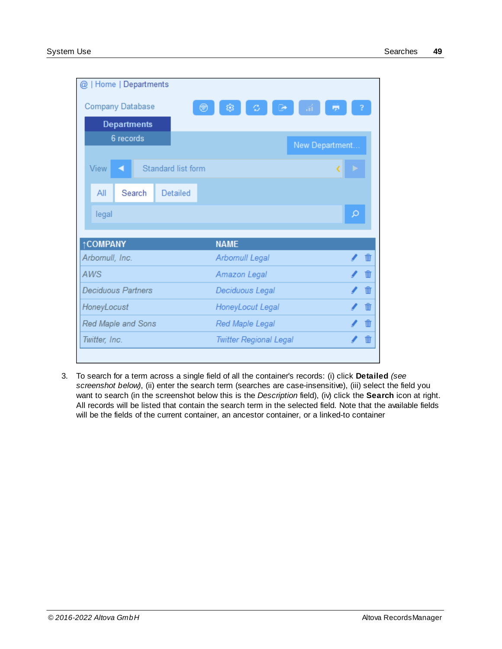| @   Home   Departments    |                    |        |                    |                               |                |   |  |
|---------------------------|--------------------|--------|--------------------|-------------------------------|----------------|---|--|
| <b>Company Database</b>   |                    |        |                    | ø                             |                |   |  |
|                           | <b>Departments</b> |        |                    |                               |                |   |  |
|                           | 6 records          |        |                    |                               | New Department |   |  |
|                           |                    |        |                    |                               |                |   |  |
| View                      | a                  |        | Standard list form |                               |                |   |  |
| All                       |                    | Search | <b>Detailed</b>    |                               |                |   |  |
| legal                     |                    |        |                    |                               |                | Q |  |
|                           |                    |        |                    |                               |                |   |  |
| <b>†COMPANY</b>           |                    |        |                    | <b>NAME</b>                   |                |   |  |
| Arbomull, Inc.            |                    |        |                    | <b>Arbomull Legal</b>         |                |   |  |
| <b>AWS</b>                |                    |        |                    | <b>Amazon Legal</b>           |                |   |  |
| <b>Deciduous Partners</b> |                    |        |                    | Deciduous Legal               |                |   |  |
| HoneyLocust               |                    |        |                    | HoneyLocut Legal              |                |   |  |
| Red Maple and Sons        |                    |        |                    | <b>Red Maple Legal</b>        |                |   |  |
| Twitter, Inc.             |                    |        |                    | <b>Twitter Regional Legal</b> |                |   |  |
|                           |                    |        |                    |                               |                |   |  |

3. To search for a term across a single field of all the container's records: (i) click **Detailed** *(see screenshot below)*, (ii) enter the search term (searches are case-insensitive), (iii) select the field you want to search (in the screenshot below this is the *Description* field), (iv) click the **Search** icon at right. All records will be listed that contain the search term in the selected field. Note that the available fields will be the fields of the current container, an ancestor container, or a linked-to container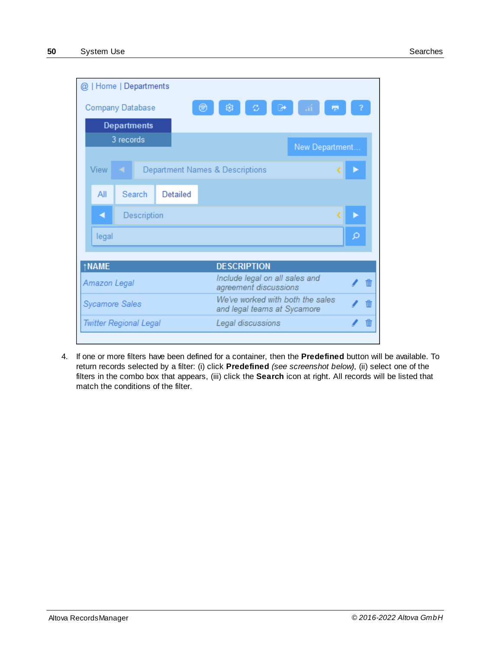|             |                       |           | @   Home   Departments        |                                            |                                                                               |   |                   |  |                |  |   |  |
|-------------|-----------------------|-----------|-------------------------------|--------------------------------------------|-------------------------------------------------------------------------------|---|-------------------|--|----------------|--|---|--|
|             |                       |           | Company Database              |                                            |                                                                               | 稔 | ø                 |  |                |  |   |  |
|             |                       |           | <b>Departments</b>            |                                            |                                                                               |   |                   |  |                |  |   |  |
|             |                       | 3 records |                               |                                            |                                                                               |   |                   |  | New Department |  |   |  |
| <b>View</b> |                       |           |                               | <b>Department Names &amp; Descriptions</b> |                                                                               |   |                   |  |                |  |   |  |
|             | All                   |           | Search                        | Detailed                                   |                                                                               |   |                   |  |                |  |   |  |
|             | ◀                     |           | Description                   |                                            |                                                                               |   |                   |  |                |  |   |  |
|             | legal                 |           |                               |                                            |                                                                               |   |                   |  |                |  | Ω |  |
|             |                       |           |                               |                                            |                                                                               |   |                   |  |                |  |   |  |
|             | ↑NAME<br>Amazon Legal |           |                               |                                            | <b>DESCRIPTION</b><br>Include legal on all sales and<br>agreement discussions |   |                   |  |                |  |   |  |
|             | <b>Sycamore Sales</b> |           |                               |                                            | We've worked with both the sales<br>and legal teams at Sycamore               |   |                   |  |                |  |   |  |
|             |                       |           | <b>Twitter Regional Legal</b> |                                            |                                                                               |   | Legal discussions |  |                |  |   |  |
|             |                       |           |                               |                                            |                                                                               |   |                   |  |                |  |   |  |

4. If one or more filters have been defined for a container, then the **Predefined** button will be available. To return records selected by a filter: (i) click **Predefined** *(see screenshot below)*, (ii) select one of the filters in the combo box that appears, (iii) click the **Search** icon at right. All records will be listed that match the conditions of the filter.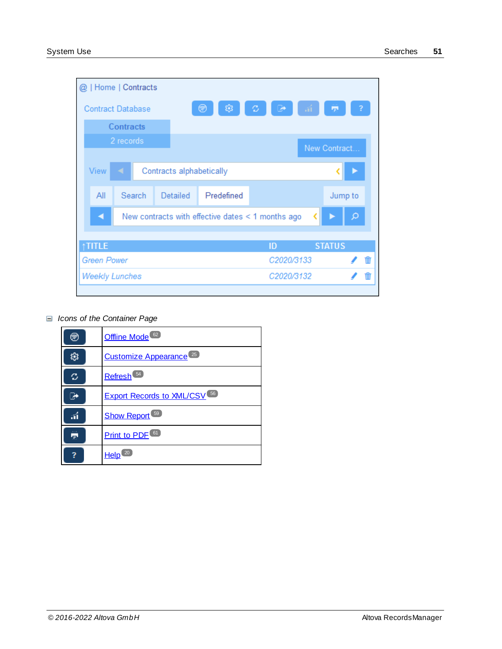| $^{\textregistered}$ |                          |                  | Home   Contracts |          |                          |                                                        |               |   |
|----------------------|--------------------------|------------------|------------------|----------|--------------------------|--------------------------------------------------------|---------------|---|
|                      | <b>Contract Database</b> |                  |                  |          | 戀。<br>⊛                  | <b>RE</b><br>$\rightarrow$                             | ÷             | 2 |
|                      |                          | <b>Contracts</b> |                  |          |                          |                                                        |               |   |
|                      |                          | 2 records        |                  |          |                          |                                                        | New Contract  |   |
|                      |                          |                  |                  |          |                          |                                                        |               |   |
|                      | <b>View</b>              |                  |                  |          | Contracts alphabetically |                                                        |               |   |
|                      | All                      |                  | Search           | Detailed | Predefined               |                                                        | Jump to       |   |
|                      | ◀                        |                  |                  |          |                          | New contracts with effective dates $\leq 1$ months ago |               |   |
|                      |                          |                  |                  |          |                          |                                                        |               |   |
|                      | <b>TITLE</b>             |                  |                  |          |                          | ID                                                     | <b>STATUS</b> |   |
|                      | <b>Green Power</b>       |                  |                  |          |                          | C2020/3133                                             |               |   |
|                      | <b>Weekly Lunches</b>    |                  |                  |          |                          | C2020/3132                                             |               |   |
|                      |                          |                  |                  |          |                          |                                                        |               |   |

*Icons of the Container Page*

| ☞  | Offline Mode <sup>62</sup>                     |
|----|------------------------------------------------|
|    | Customize Appearance <sup>25</sup>             |
| c  | Refresh <sup>54</sup>                          |
|    | <b>Export Records to XML/CSV</b> <sup>56</sup> |
| áÍ | Show Report <sup>59</sup>                      |
| 帚  | <b>Print to PDF</b> <sup>61</sup>              |
|    | Help                                           |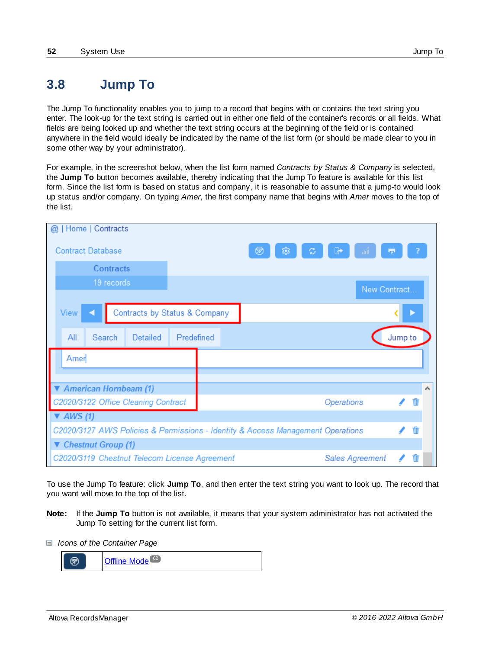# <span id="page-51-0"></span>**3.8 Jump To**

The Jump To functionality enables you to jump to a record that begins with or contains the text string you enter. The look-up for the text string is carried out in either one field of the container's records or all fields. What fields are being looked up and whether the text string occurs at the beginning of the field or is contained anywhere in the field would ideally be indicated by the name of the list form (or should be made clear to you in some other way by your administrator).

For example, in the screenshot below, when the list form named *Contracts by Status & Company* is selected, the **Jump To** button becomes available, thereby indicating that the Jump To feature is available for this list form. Since the list form is based on status and company, it is reasonable to assume that a jump-to would look up status and/or company. On typing *Amer*, the first company name that begins with *Amer* moves to the top of the list.

| Home   Contracts<br>@                                                           |                               |        |                        |            |   |                     |
|---------------------------------------------------------------------------------|-------------------------------|--------|------------------------|------------|---|---------------------|
| <b>Contract Database</b>                                                        |                               | 戀<br>ø | Ø.                     | <b>Pyr</b> |   |                     |
| <b>Contracts</b>                                                                |                               |        |                        |            |   |                     |
| 19 records                                                                      |                               |        | New Contract           |            |   |                     |
|                                                                                 |                               |        |                        |            |   |                     |
| View                                                                            | Contracts by Status & Company |        |                        |            |   |                     |
| All<br>Search<br>Detailed                                                       | Predefined                    |        |                        | Jump to    |   |                     |
| Amer                                                                            |                               |        |                        |            |   |                     |
|                                                                                 |                               |        |                        |            |   |                     |
| ▼ American Hornbeam (1)                                                         |                               |        |                        |            |   | $\hat{\phantom{a}}$ |
| C2020/3122 Office Cleaning Contract                                             |                               |        | Operations             |            | D |                     |
| $\blacktriangledown$ AWS (1)                                                    |                               |        |                        |            |   |                     |
| C2020/3127 AWS Policies & Permissions - Identity & Access Management Operations |                               |        | Ŵ                      |            |   |                     |
| ▼ Chestnut Group (1)                                                            |                               |        |                        |            |   |                     |
| C2020/3119 Chestnut Telecom License Agreement                                   |                               |        | <b>Sales Agreement</b> |            |   |                     |

To use the Jump To feature: click **Jump To**, and then enter the text string you want to look up. The record that you want will move to the top of the list.

- **Note:** If the **Jump To** button is not available, it means that your system administrator has not activated the Jump To setting for the current list form.
- *Icons of the Container Page*

|  | 62<br>$S$ and $S$<br><b>Ander</b><br>e |
|--|----------------------------------------|
|--|----------------------------------------|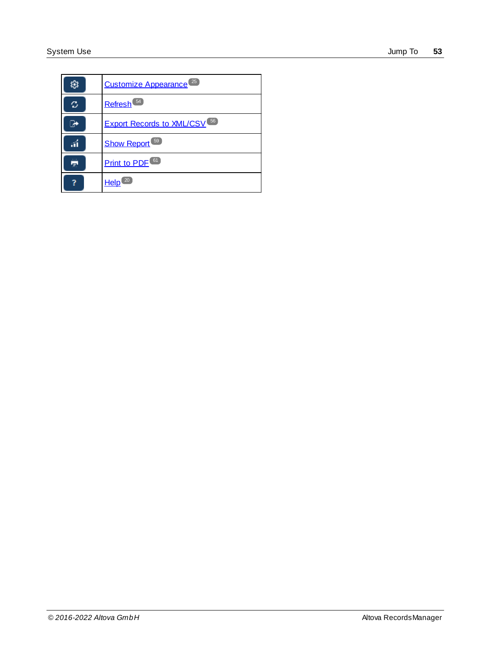|     | Customize Appearance <sup>25</sup>            |
|-----|-----------------------------------------------|
| ο   | Refresh <sup>54</sup>                         |
|     | <b>Export Records to XML/CSV<sup>56</sup></b> |
|     | Show Report <sup>59</sup>                     |
| TP- | Print to PDF <sup>61</sup>                    |
|     | Help <sup>(20)</sup>                          |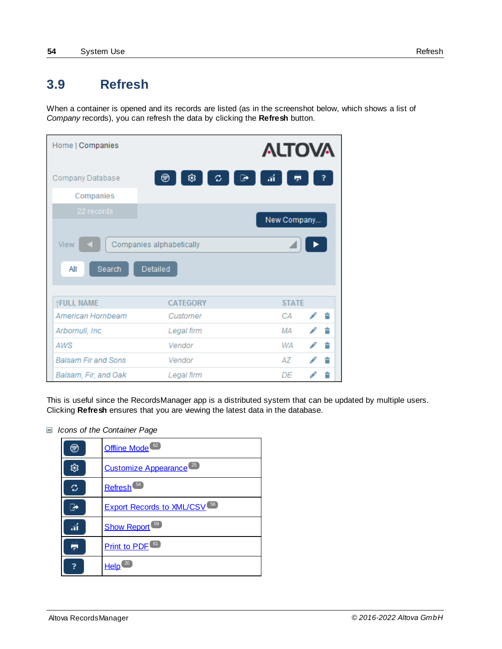# <span id="page-53-0"></span>**3.9 Refresh**

When a container is opened and its records are listed (as in the screenshot below, which shows a list of *Company* records), you can refresh the data by clicking the **Refresh** button.

| Home   Companies           |                                             | <b>ALTOVA</b>  |  |
|----------------------------|---------------------------------------------|----------------|--|
| Company Database           | 戀<br>C.<br>☞<br>⊛                           | $\vec{u}$<br>量 |  |
| Companies                  |                                             |                |  |
| 22 records                 |                                             | New Company    |  |
| View<br>Search<br>All      | Companies alphabetically<br><b>Detailed</b> |                |  |
| ↑FULL NAME                 | <b>CATEGORY</b>                             | <b>STATE</b>   |  |
| American Hornbeam          | Customer                                    | CА             |  |
| Arbornull, Inc.            | Legal firm                                  | MА             |  |
| AWS                        | Vendor                                      | WА             |  |
| <b>Balsam Fir and Sons</b> | Vendor                                      | AZ.            |  |
| Balsam, Fir, and Oak       | Legal firm                                  | DF             |  |

This is useful since the RecordsManager app is a distributed system that can be updated by multiple users. Clicking **Refresh** ensures that you are viewing the latest data in the database.

*Icons of the Container Page*

| ≅ | Offline Mode <sup>62</sup>                    |
|---|-----------------------------------------------|
|   | Customize Appearance <sup>25</sup>            |
| ο | Refresh <sup>54</sup>                         |
|   | <b>Export Records to XML/CSV<sup>56</sup></b> |
|   | <b>Show Report</b> <sup>59</sup>              |
|   | <b>Print to PDF<sup>61</sup></b>              |
|   | Help                                          |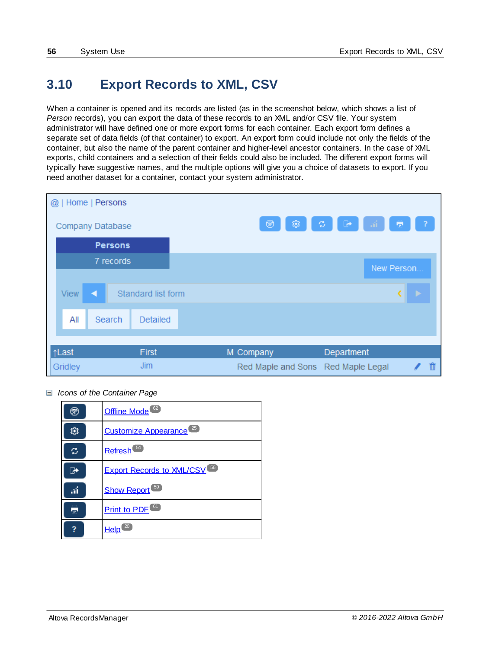# <span id="page-55-0"></span>**3.10 Export Records to XML, CSV**

When a container is opened and its records are listed (as in the screenshot below, which shows a list of *Person* records), you can export the data of these records to an XML and/or CSV file. Your system administrator will have defined one or more export forms for each container. Each export form defines a separate set of data fields (of that container) to export. An export form could include not only the fields of the container, but also the name of the parent container and higher-level ancestor containers. In the case of XML exports, child containers and a selection of their fields could also be included. The different export forms will typically have suggestive names, and the multiple options will give you a choice of datasets to export. If you need another dataset for a container, contact your system administrator.



*Icons of the Container Page*

| ☞  | Offline Mode <sup>62</sup>                    |
|----|-----------------------------------------------|
|    | Customize Appearance <sup>25</sup>            |
| o  | Refresh <sup>54</sup>                         |
|    | <b>Export Records to XML/CSV<sup>56</sup></b> |
| áÍ | <b>Show Report</b> <sup>59</sup>              |
| 毒  | Print to PDF <sup>61</sup>                    |
|    | Help                                          |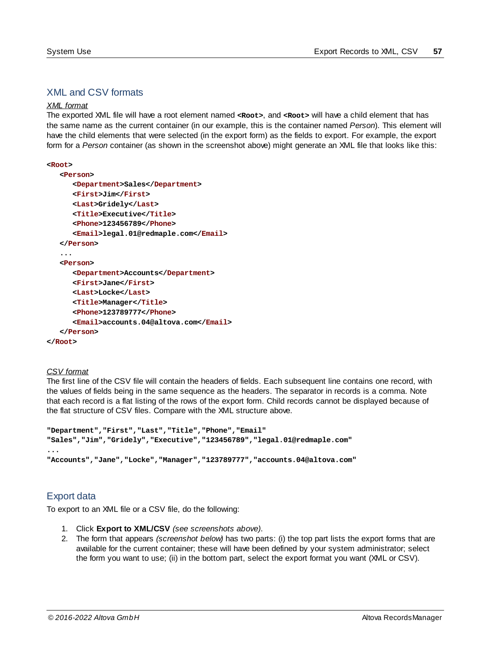# XML and CSV formats

#### *XML format*

The exported XML file will have a root element named **<Root>**, and **<Root>** will have a child element that has the same name as the current container (in our example, this is the container named *Person*). This element will have the child elements that were selected (in the export form) as the fields to export. For example, the export form for a *Person* container (as shown in the screenshot above) might generate an XML file that looks like this:

```
<Root>
```

```
<Person>
      <Department>Sales</Department>
      <First>Jim</First>
      <Last>Gridely</Last>
      <Title>Executive</Title>
      <Phone>123456789</Phone>
      <Email>legal.01@redmaple.com</Email>
  </Person>
   ...
   <Person>
      <Department>Accounts</Department>
      <First>Jane</First>
      <Last>Locke</Last>
      <Title>Manager</Title>
      <Phone>123789777</Phone>
      <Email>accounts.04@altova.com</Email>
   </Person>
</Root>
```
#### *CSV format*

The first line of the CSV file will contain the headers of fields. Each subsequent line contains one record, with the values of fields being in the same sequence as the headers. The separator in records is a comma. Note that each record is a flat listing of the rows of the export form. Child records cannot be displayed because of the flat structure of CSV files. Compare with the XML structure above.

```
"Department","First","Last","Title","Phone","Email"
"Sales","Jim","Gridely","Executive","123456789","legal.01@redmaple.com"
...
"Accounts","Jane","Locke","Manager","123789777","accounts.04@altova.com"
```
### Export data

To export to an XML file or a CSV file, do the following:

- 1. Click **Export to XML/CSV** *(see screenshots above)*.
- 2. The form that appears *(screenshot below)* has two parts: (i) the top part lists the export forms that are available for the current container; these will have been defined by your system administrator; select the form you want to use; (ii) in the bottom part, select the export format you want (XML or CSV).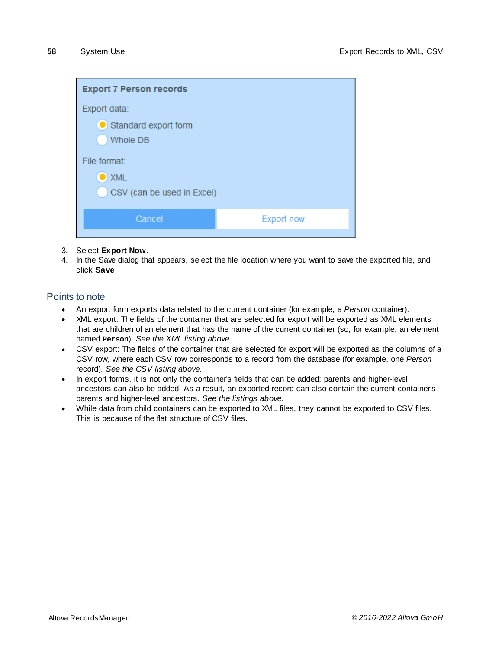

- 3. Select **Export Now**.
- 4. In the Save dialog that appears, select the file location where you want to save the exported file, and click **Save**.

#### Points to note

- · An export form exports data related to the current container (for example, a *Person* container).
- XML export: The fields of the container that are selected for export will be exported as XML elements that are children of an element that has the name of the current container (so, for example, an element named **Person**). *See the XML listing above.*
- · CSV export: The fields of the container that are selected for export will be exported as the columns of a CSV row, where each CSV row corresponds to a record from the database (for example, one *Person* record). *See the CSV listing above*.
- · In export forms, it is not only the container's fields that can be added; parents and higher-level ancestors can also be added. As a result, an exported record can also contain the current container's parents and higher-level ancestors. *See the listings above*.
- · While data from child containers can be exported to XML files, they cannot be exported to CSV files. This is because of the flat structure of CSV files.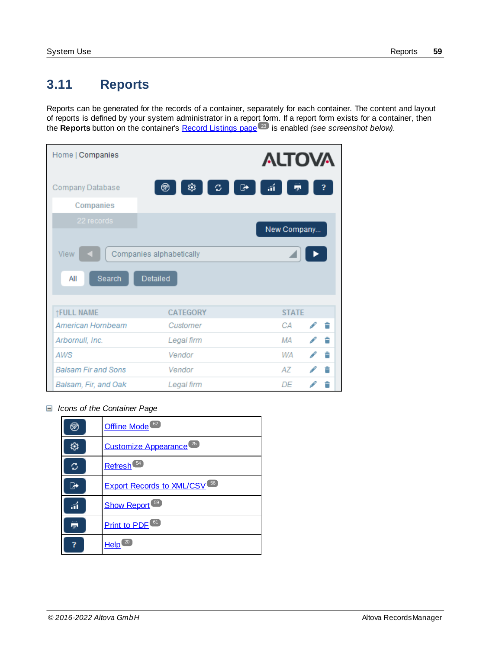# <span id="page-58-0"></span>**3.11 Reports**

Reports can be generated for the records of a container, separately for each container. The content and layout of reports is defined by your system administrator in a report form. If a report form exists for a container, then the **Reports** button on the container's **Record [Listings](#page-22-0) page<sup>23</sup>** is enabled *(see screenshot below)*.

| Home   Companies           |                          | <b>ALTOVA</b> |   |
|----------------------------|--------------------------|---------------|---|
| Company Database           | 戀<br>⊛<br>ο<br>☞         | áÍ<br>÷       |   |
| Companies                  |                          |               |   |
| 22 records                 |                          |               |   |
|                            |                          | New Company   |   |
| View                       | Companies alphabetically |               |   |
| Search<br>All              | <b>Detailed</b>          |               |   |
| ↑FULL NAME                 | <b>CATEGORY</b>          | <b>STATE</b>  |   |
| American Hornbeam          | Customer                 | CА            | 會 |
| Arbornull, Inc.            | Legal firm               | ΜA            |   |
| AWS                        | Vendor                   | WA            |   |
| <b>Balsam Fir and Sons</b> | Vendor                   | AΖ            |   |
| Balsam, Fir, and Oak       | Legal firm               | DE            |   |

*Icons of the Container Page*

| ಡ್ | Offline Mode <sup>62</sup>                    |
|----|-----------------------------------------------|
|    | Customize Appearance <sup>25</sup>            |
| ο  | Refresh <sup>54</sup>                         |
|    | <b>Export Records to XML/CSV<sup>56</sup></b> |
| áÍ | <b>Show Report</b> <sup>59</sup>              |
| m. | Print to PDF <sup>61</sup>                    |
|    | Help                                          |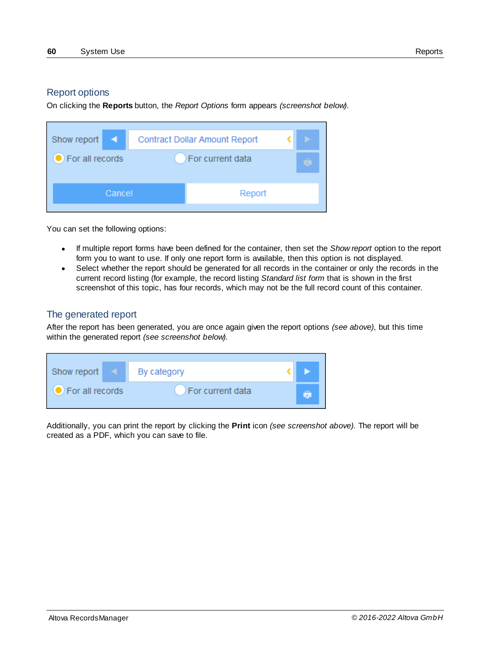### Report options

On clicking the **Reports** button, the *Report Options* form appears *(screenshot below)*.

| Show report $\vert \vert$ | <b>Contract Dollar Amount Report</b> |                  |  |  |
|---------------------------|--------------------------------------|------------------|--|--|
| For all records           |                                      | For current data |  |  |
| Cancel                    |                                      | Report           |  |  |

You can set the following options:

- · If multiple report forms have been defined for the container, then set the *Show report* option to the report form you to want to use. If only one report form is available, then this option is not displayed.
- Select whether the report should be generated for all records in the container or only the records in the current record listing (for example, the record listing *Standard list form* that is shown in the first screenshot of this topic, has four records, which may not be the full record count of this container.

# The generated report

After the report has been generated, you are once again given the report options *(see above)*, but this time within the generated report *(see screenshot below)*.

| Show report              |  | By category      |     |
|--------------------------|--|------------------|-----|
| <b>O</b> For all records |  | For current data | ta. |

Additionally, you can print the report by clicking the **Print** icon *(see screenshot above)*. The report will be created as a PDF, which you can save to file.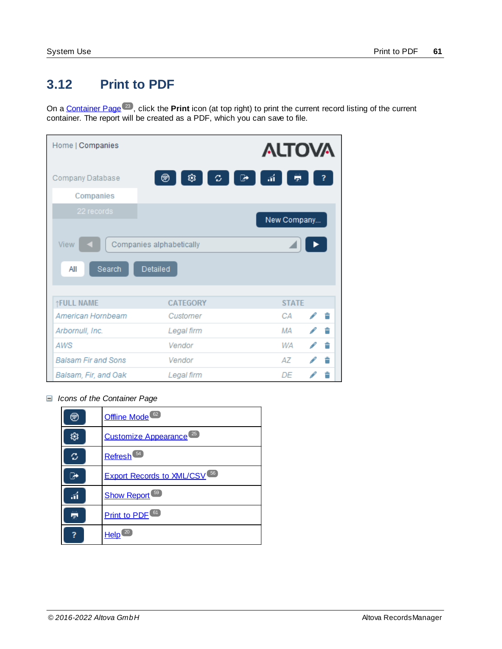# <span id="page-60-0"></span>**3.12 Print to PDF**

On a [Container](#page-22-0) Page<sup>(23</sup>), click the **Print** icon (at top right) to print the current record listing of the current container. The report will be created as a PDF, which you can save to file. 23

| Home   Companies           |                                      | <b>ALTOVA</b>   |  |
|----------------------------|--------------------------------------|-----------------|--|
| Company Database           | 戀<br>$\mathcal{Z}$<br>☞<br>⊛         | $\vec{u}$<br>۳, |  |
| Companies                  |                                      |                 |  |
| 22 records                 |                                      | New Company     |  |
| View<br>Search<br>All      | Companies alphabetically<br>Detailed |                 |  |
| <b>TFULL NAME</b>          | CATEGORY                             | <b>STATE</b>    |  |
| American Hornbeam          | Customer                             | CA<br>會         |  |
| Arbornull, Inc.            | Legal firm                           | ΜA<br>會         |  |
| <b>AWS</b>                 | Vendor                               | 會<br>WA         |  |
| <b>Balsam Fir and Sons</b> | Vendor                               | AΖ<br>盲         |  |
| Balsam, Fir, and Oak       | Legal firm                           | DE              |  |

*Icons of the Container Page*

| ☞  | Offline Mode <sup>62</sup>                     |
|----|------------------------------------------------|
|    | Customize Appearance <sup>25</sup>             |
| c  | Refresh <sup>54</sup>                          |
|    | <b>Export Records to XML/CSV</b> <sup>56</sup> |
| áÍ | Show Report <sup>69</sup>                      |
| 忈  | <b>Print to PDF<sup>61</sup></b>               |
|    | Help                                           |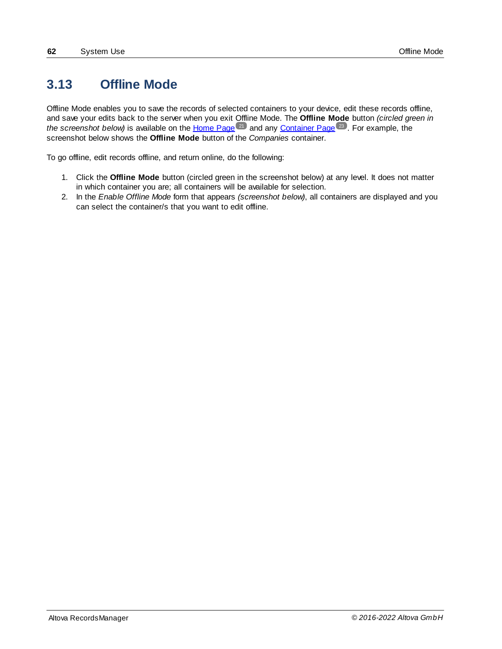# <span id="page-61-0"></span>**3.13 Offline Mode**

Offline Mode enables you to save the records of selected containers to your device, edit these records offline, and save your edits back to the server when you exit Offline Mode. The **Offline Mode** button *(circled green in* the screenshot below) is available on the [Home](#page-20-0) Page <sup>21</sup> and any [Container](#page-22-0) Page <sup>23</sup>. For example, the screenshot below shows the **Offline Mode** button of the *Companies* container.

To go offline, edit records offline, and return online, do the following:

- 1. Click the **Offline Mode** button (circled green in the screenshot below) at any level. It does not matter in which container you are; all containers will be available for selection.
- 2. In the *Enable Offline Mode* form that appears *(screenshot below)*, all containers are displayed and you can select the container/s that you want to edit offline.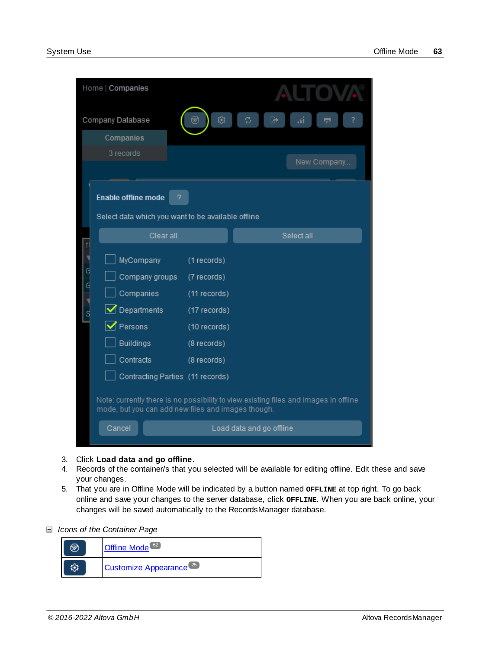|               | Home   Companies                                                                                                                                                  |                                                                                                          |                                                                                                                  |
|---------------|-------------------------------------------------------------------------------------------------------------------------------------------------------------------|----------------------------------------------------------------------------------------------------------|------------------------------------------------------------------------------------------------------------------|
|               | Company Database                                                                                                                                                  | 戀                                                                                                        |                                                                                                                  |
|               | Companies                                                                                                                                                         |                                                                                                          |                                                                                                                  |
|               | 3 records                                                                                                                                                         |                                                                                                          |                                                                                                                  |
|               |                                                                                                                                                                   |                                                                                                          | New Company                                                                                                      |
|               | <b>Enable offline mode</b><br>7<br>Select data which you want to be available offline                                                                             |                                                                                                          |                                                                                                                  |
|               | Clear all                                                                                                                                                         |                                                                                                          | Select all                                                                                                       |
| $\frac{d}{d}$ | MyCompany<br>Company groups<br>Companies<br>$\sqrt{}$ Departments<br>$\triangledown$ Persons<br><b>Buildings</b><br>Contracts<br>Contracting Parties (11 records) | (1 records)<br>(7 records)<br>(11 records)<br>(17 records)<br>(10 records)<br>(8 records)<br>(8 records) |                                                                                                                  |
|               | mode, but you can add new files and images though.<br>Cancel                                                                                                      |                                                                                                          | Note: currently there is no possibility to view existing files and images in offline<br>Load data and go offline |

- 3. Click **Load data and go offline**.
- 4. Records of the container/s that you selected will be available for editing offline. Edit these and save your changes.
- 5. That you are in Offline Mode will be indicated by a button named **OFFLINE** at top right. To go back online and save your changes to the server database, click **OFFLINE**. When you are back online, your changes will be saved automatically to the RecordsManager database.
- *Icons of the Container Page*

| Offline Mode <sup>62</sup>         |
|------------------------------------|
| Customize Appearance <sup>25</sup> |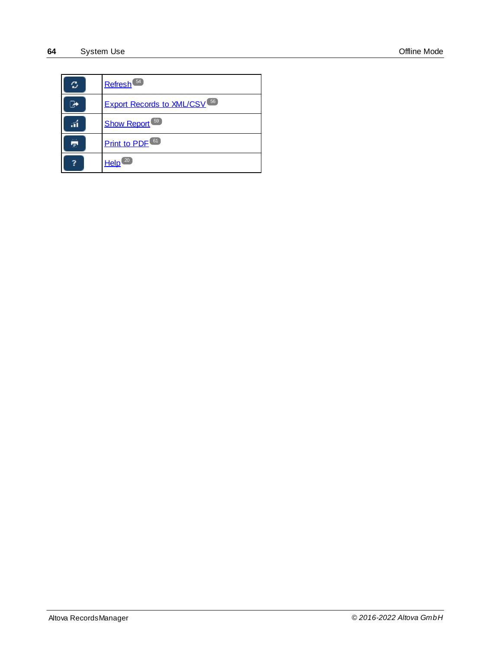| c | Refresh <sup>54</sup>                          |
|---|------------------------------------------------|
|   | <b>Export Records to XML/CSV</b> <sup>56</sup> |
|   | <b>Show Report</b> <sup>59</sup>               |
| Ŧ | Print to PDF <sup>61</sup>                     |
|   | 20<br>Help                                     |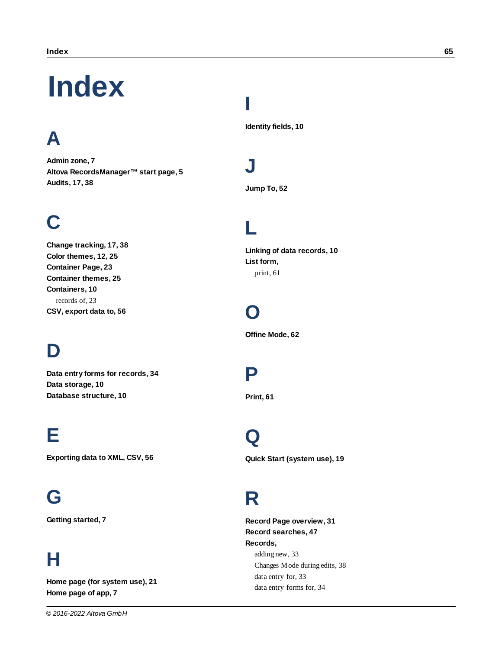# <span id="page-64-0"></span>**lndex**

# **A**

**Adm i n z o n e , [7](#page-6-0)** Altova RecordsManager™ start page, [5](#page-4-0) **A u d i t s , [1](#page-16-0) 7 , [3](#page-37-0) 8**

# **C**

Change tracking, [1](#page-16-0)7, [3](#page-37-0)8 Color themes, [1](#page-11-0)[2](#page-24-0), 25 Container Page, [2](#page-22-0)3 Container themes, [2](#page-24-0)5 **C o n t a i n e r s , [1](#page-9-0) 0** records of, [2](#page-22-0)3 **C S V , e x p o r t d a t a t o , [5](#page-55-0) 6**

# **D**

Data entry forms for records, [3](#page-33-0)4 Data storage, [1](#page-9-0)0 Database structure, [1](#page-9-0)0

# **E**

Exporting data to XML, CSV, [5](#page-55-0)6

# **G**

**Gett i n g s t a r t e d , [7](#page-6-0)**

# **H**

**home page (for system use), [2](#page-20-0)1 h h h c c n c n c n c n c n c n c n c n c n c n c n c n c n c n c n c n c n c n c n c n c n c n c n c n c n c n** 

# **I**

**Id e n t i t y f i e l d s , [1](#page-9-0) 0**

# **J**

**Jum p T o , [5](#page-51-0) 2**

# **L**

Linking of data records, [1](#page-9-0)0 **L i s t f o r m ,** print, [6](#page-60-0)1

# **O**

**Offin e M o d e , [6](#page-61-0) 2**

# **P**

**Prin t , [6](#page-60-0) 1**

# **Q**

Quick Start (system use), [1](#page-18-0)9

# **R**

Record Page overview, [3](#page-30-0)1 Record searches, [4](#page-46-0)7 **R e c o r d s ,** adding new, [3](#page-32-0)3 Changes Mode during edits, [3](#page-37-0)8 data entry for, [3](#page-32-0)3 data entry forms for, [3](#page-33-0)4